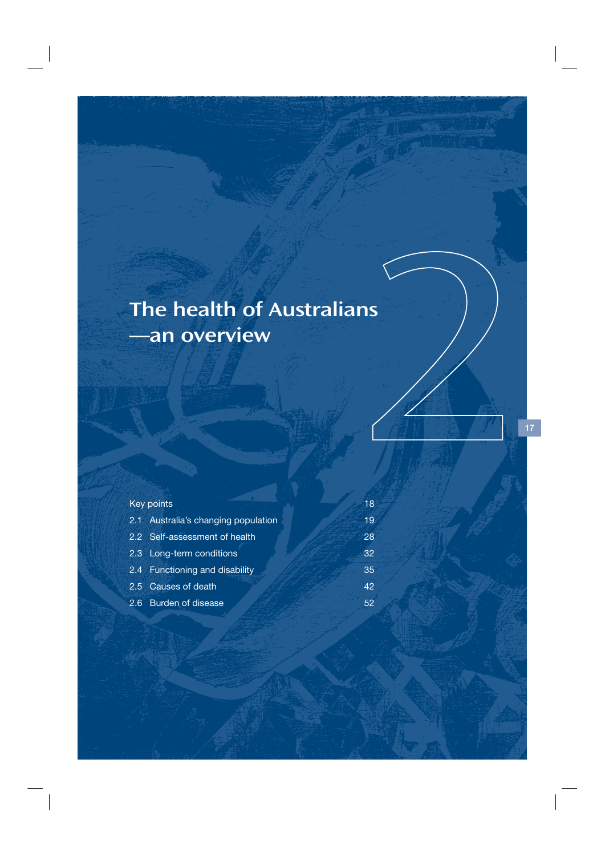# The health of Australians —an overview

|  | Key points                          | 18 |
|--|-------------------------------------|----|
|  | 2.1 Australia's changing population | 19 |
|  | 2.2 Self-assessment of health       | 28 |
|  | 2.3 Long-term conditions            | 32 |
|  | 2.4 Functioning and disability      | 35 |
|  | 2.5 Causes of death                 | 42 |
|  | 2.6 Burden of disease               | 52 |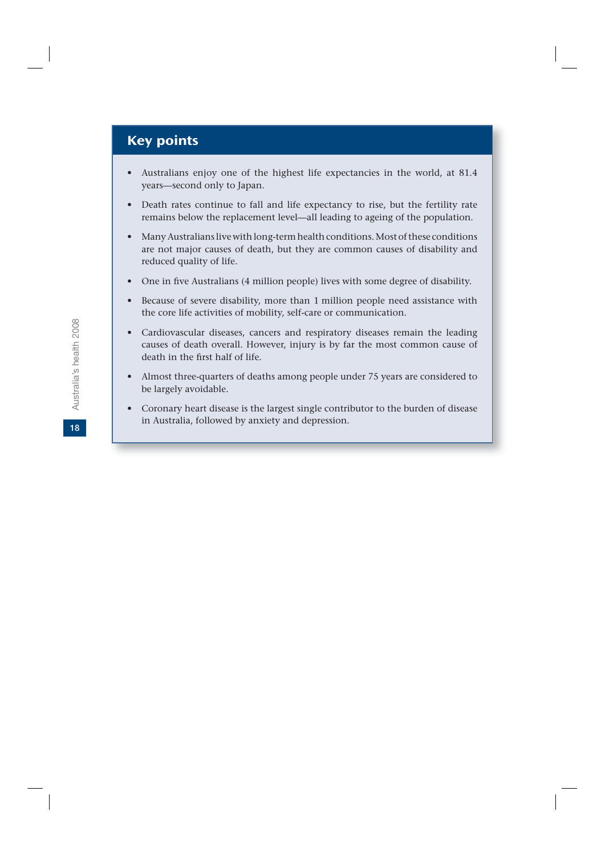## Key points

- Australians enjoy one of the highest life expectancies in the world, at 81.4 years—second only to Japan.
- Death rates continue to fall and life expectancy to rise, but the fertility rate remains below the replacement level—all leading to ageing of the population.
- Many Australians live with long-term health conditions. Most of these conditions are not major causes of death, but they are common causes of disability and reduced quality of life.
- One in five Australians (4 million people) lives with some degree of disability.
- Because of severe disability, more than 1 million people need assistance with the core life activities of mobility, self-care or communication.
- Cardiovascular diseases, cancers and respiratory diseases remain the leading causes of death overall. However, injury is by far the most common cause of death in the first half of life.
- Almost three-quarters of deaths among people under 75 years are considered to be largely avoidable.
- Coronary heart disease is the largest single contributor to the burden of disease in Australia, followed by anxiety and depression.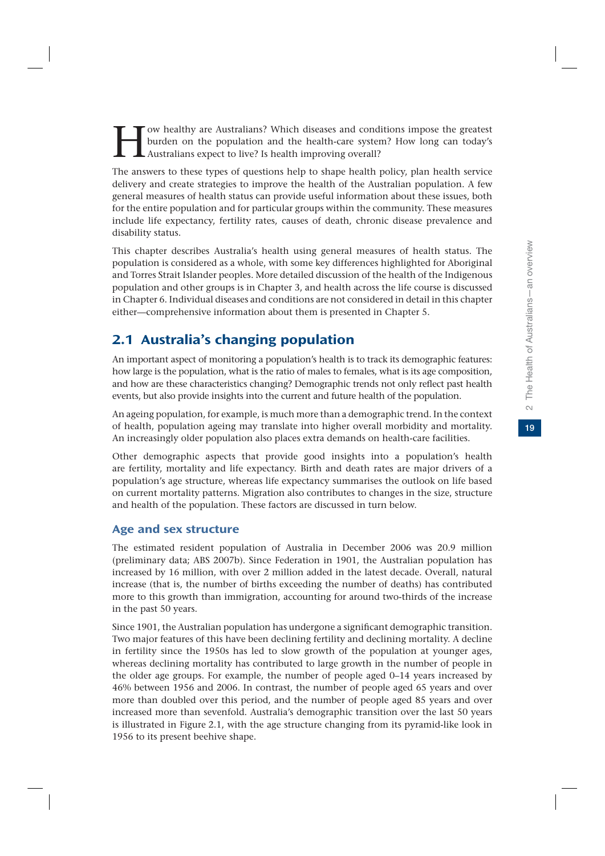Fow healthy are Australians? Which diseases and conditions impose the greatest burden on the population and the health-care system? How long can today's Australians expect to live? Is health improving overall? burden on the population and the health-care system? How long can today's Australians expect to live? Is health improving overall?

The answers to these types of questions help to shape health policy, plan health service delivery and create strategies to improve the health of the Australian population. A few general measures of health status can provide useful information about these issues, both for the entire population and for particular groups within the community. These measures include life expectancy, fertility rates, causes of death, chronic disease prevalence and disability status.

This chapter describes Australia's health using general measures of health status. The population is considered as a whole, with some key differences highlighted for Aboriginal and Torres Strait Islander peoples. More detailed discussion of the health of the Indigenous population and other groups is in Chapter 3, and health across the life course is discussed in Chapter 6. Individual diseases and conditions are not considered in detail in this chapter either—comprehensive information about them is presented in Chapter 5.

## 2.1 Australia's changing population

An important aspect of monitoring a population's health is to track its demographic features: how large is the population, what is the ratio of males to females, what is its age composition, and how are these characteristics changing? Demographic trends not only reflect past health events, but also provide insights into the current and future health of the population.

An ageing population, for example, is much more than a demographic trend. In the context of health, population ageing may translate into higher overall morbidity and mortality. An increasingly older population also places extra demands on health-care facilities.

Other demographic aspects that provide good insights into a population's health are fertility, mortality and life expectancy. Birth and death rates are major drivers of a population's age structure, whereas life expectancy summarises the outlook on life based on current mortality patterns. Migration also contributes to changes in the size, structure and health of the population. These factors are discussed in turn below.

## Age and sex structure

The estimated resident population of Australia in December 2006 was 20.9 million (preliminary data; ABS 2007b). Since Federation in 1901, the Australian population has increased by 16 million, with over 2 million added in the latest decade. Overall, natural increase (that is, the number of births exceeding the number of deaths) has contributed more to this growth than immigration, accounting for around two-thirds of the increase in the past 50 years.

Since 1901, the Australian population has undergone a significant demographic transition. Two major features of this have been declining fertility and declining mortality. A decline in fertility since the 1950s has led to slow growth of the population at younger ages, whereas declining mortality has contributed to large growth in the number of people in the older age groups. For example, the number of people aged 0–14 years increased by 46% between 1956 and 2006. In contrast, the number of people aged 65 years and over more than doubled over this period, and the number of people aged 85 years and over increased more than sevenfold. Australia's demographic transition over the last 50 years is illustrated in Figure 2.1, with the age structure changing from its pyramid-like look in 1956 to its present beehive shape.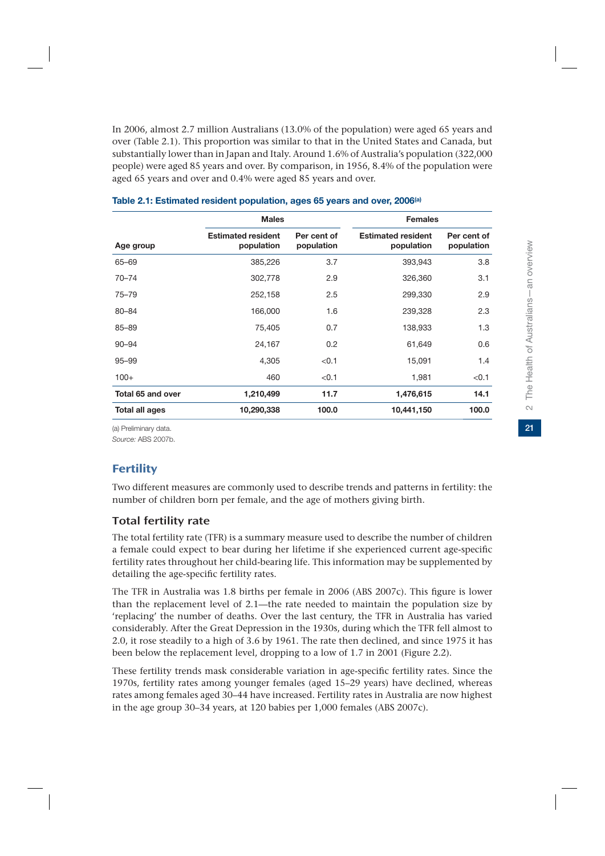$21$ 

In 2006, almost 2.7 million Australians (13.0% of the population) were aged 65 years and over (Table 2.1). This proportion was similar to that in the United States and Canada, but substantially lower than in Japan and Italy. Around 1.6% of Australia's population (322,000 people) were aged 85 years and over. By comparison, in 1956, 8.4% of the population were aged 65 years and over and 0.4% were aged 85 years and over.

|                   | <b>Males</b>                            |                           | <b>Females</b>                          |                           |  |  |
|-------------------|-----------------------------------------|---------------------------|-----------------------------------------|---------------------------|--|--|
| Age group         | <b>Estimated resident</b><br>population | Per cent of<br>population | <b>Estimated resident</b><br>population | Per cent of<br>population |  |  |
| 65-69             | 385,226                                 | 3.7                       | 393,943                                 | 3.8                       |  |  |
| $70 - 74$         | 302,778                                 | 2.9                       | 326,360                                 | 3.1                       |  |  |
| $75 - 79$         | 252,158                                 | 2.5                       | 299,330                                 | 2.9                       |  |  |
| 80-84             | 166,000                                 | 1.6                       | 239,328                                 | 2.3                       |  |  |
| 85-89             | 75,405                                  | 0.7                       | 138,933                                 | 1.3                       |  |  |
| $90 - 94$         | 24,167                                  | 0.2                       | 61,649                                  | 0.6                       |  |  |
| $95 - 99$         | 4,305                                   | < 0.1                     | 15,091                                  | 1.4                       |  |  |
| $100+$            | 460                                     | < 0.1                     | 1,981                                   | < 0.1                     |  |  |
| Total 65 and over | 1,210,499                               | 11.7                      | 1,476,615                               | 14.1                      |  |  |
| Total all ages    | 10,290,338                              | 100.0                     | 10,441,150                              | 100.0                     |  |  |

#### **Table 2.1: Estimated resident population, ages 65 years and over, 2006(a)**

(a) Preliminary data.

*Source:* ABS 2007b.

## **Fertility**

Two different measures are commonly used to describe trends and patterns in fertility: the number of children born per female, and the age of mothers giving birth.

#### Total fertility rate

The total fertility rate (TFR) is a summary measure used to describe the number of children a female could expect to bear during her lifetime if she experienced current age-specific fertility rates throughout her child-bearing life. This information may be supplemented by detailing the age-specific fertility rates.

The TFR in Australia was 1.8 births per female in 2006 (ABS 2007c). This figure is lower than the replacement level of 2.1—the rate needed to maintain the population size by 'replacing' the number of deaths. Over the last century, the TFR in Australia has varied considerably. After the Great Depression in the 1930s, during which the TFR fell almost to 2.0, it rose steadily to a high of 3.6 by 1961. The rate then declined, and since 1975 it has been below the replacement level, dropping to a low of 1.7 in 2001 (Figure 2.2).

These fertility trends mask considerable variation in age-specific fertility rates. Since the 1970s, fertility rates among younger females (aged 15–29 years) have declined, whereas rates among females aged 30–44 have increased. Fertility rates in Australia are now highest in the age group 30–34 years, at 120 babies per 1,000 females (ABS 2007c).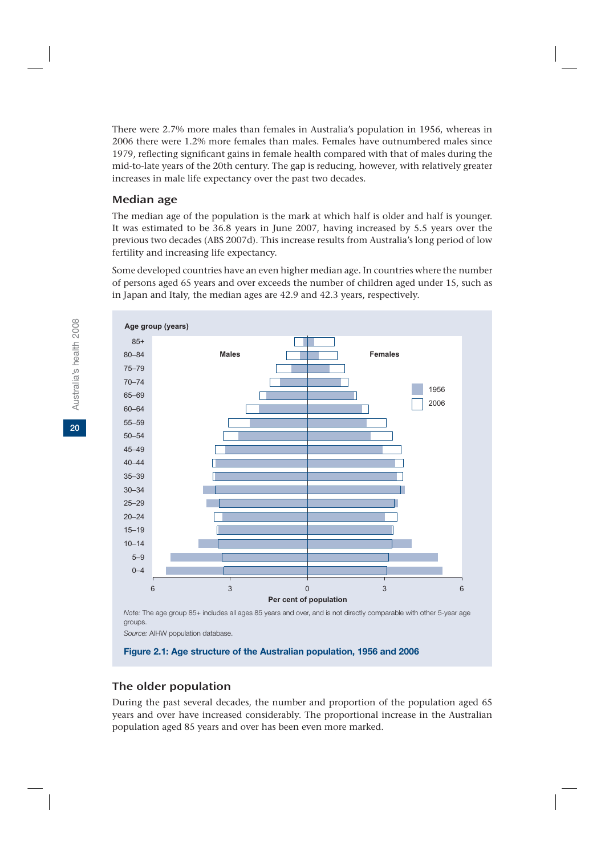There were 2.7% more males than females in Australia's population in 1956, whereas in 2006 there were 1.2% more females than males. Females have outnumbered males since 1979, reflecting significant gains in female health compared with that of males during the mid-to-late years of the 20th century. The gap is reducing, however, with relatively greater increases in male life expectancy over the past two decades.

### Median age

The median age of the population is the mark at which half is older and half is younger. It was estimated to be 36.8 years in June 2007, having increased by 5.5 years over the previous two decades (ABS 2007d). This increase results from Australia's long period of low fertility and increasing life expectancy.

Some developed countries have an even higher median age. In countries where the number of persons aged 65 years and over exceeds the number of children aged under 15, such as in Japan and Italy, the median ages are 42.9 and 42.3 years, respectively.



*Note:* The age group 85+ includes all ages 85 years and over, and is not directly comparable with other 5-year age groups.

*Source:* AIHW population database.

**Figure 2.1: Age structure of the Australian population, 1956 and 2006**

## The older population

During the past several decades, the number and proportion of the population aged 65 years and over have increased considerably. The proportional increase in the Australian population aged 85 years and over has been even more marked.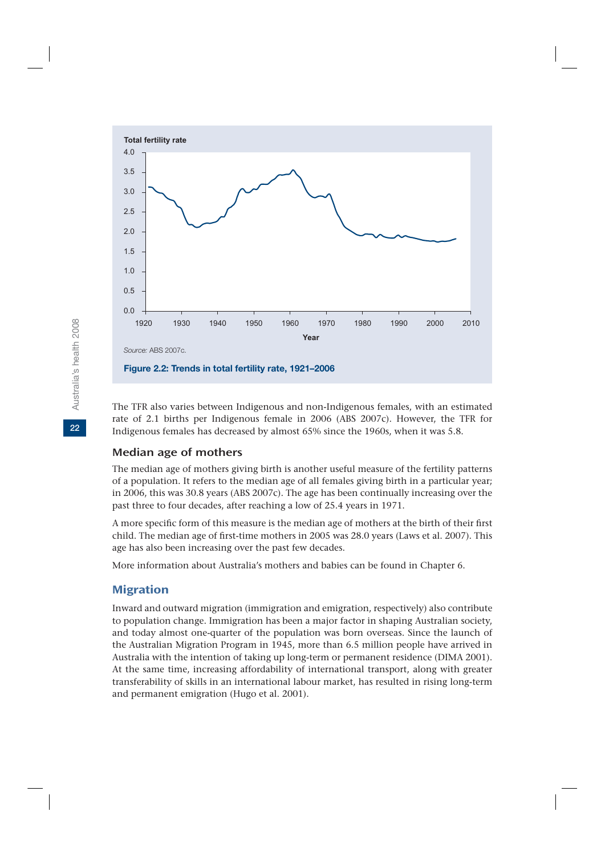

The TFR also varies between Indigenous and non-Indigenous females, with an estimated rate of 2.1 births per Indigenous female in 2006 (ABS 2007c). However, the TFR for Indigenous females has decreased by almost 65% since the 1960s, when it was 5.8.

#### Median age of mothers

The median age of mothers giving birth is another useful measure of the fertility patterns of a population. It refers to the median age of all females giving birth in a particular year; in 2006, this was 30.8 years (ABS 2007c). The age has been continually increasing over the past three to four decades, after reaching a low of 25.4 years in 1971.

A more specific form of this measure is the median age of mothers at the birth of their first child. The median age of first-time mothers in 2005 was 28.0 years (Laws et al. 2007). This age has also been increasing over the past few decades.

More information about Australia's mothers and babies can be found in Chapter 6.

### Migration

Inward and outward migration (immigration and emigration, respectively) also contribute to population change. Immigration has been a major factor in shaping Australian society, and today almost one-quarter of the population was born overseas. Since the launch of the Australian Migration Program in 1945, more than 6.5 million people have arrived in Australia with the intention of taking up long-term or permanent residence (DIMA 2001). At the same time, increasing affordability of international transport, along with greater transferability of skills in an international labour market, has resulted in rising long-term and permanent emigration (Hugo et al. 2001).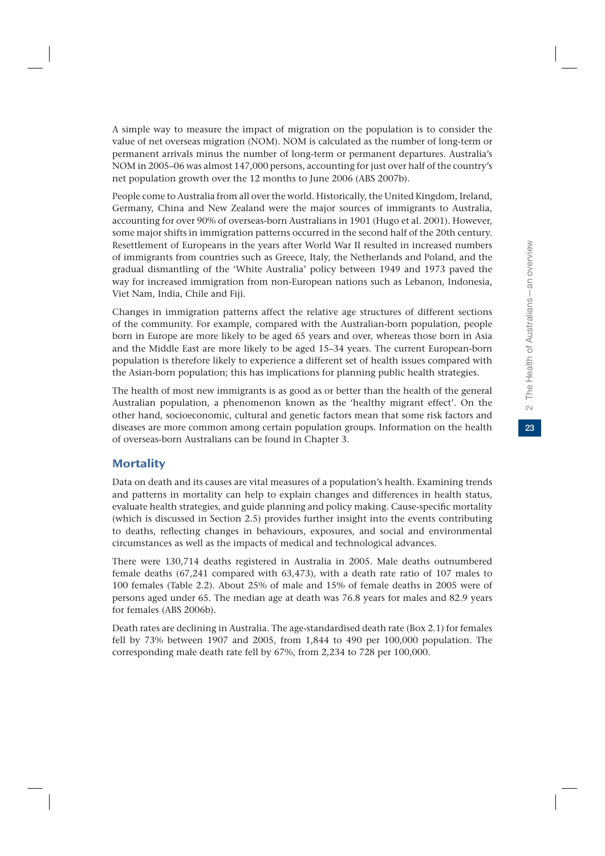23

A simple way to measure the impact of migration on the population is to consider the value of net overseas migration (NOM). NOM is calculated as the number of long-term or permanent arrivals minus the number of long-term or permanent departures. Australia's NOM in 2005–06 was almost 147,000 persons, accounting for just over half of the country's net population growth over the 12 months to June 2006 (ABS 2007b).

People come to Australia from all over the world. Historically, the United Kingdom, Ireland, Germany, China and New Zealand were the major sources of immigrants to Australia, accounting for over 90% of overseas-born Australians in 1901 (Hugo et al. 2001). However, some major shifts in immigration patterns occurred in the second half of the 20th century. Resettlement of Europeans in the years after World War II resulted in increased numbers of immigrants from countries such as Greece, Italy, the Netherlands and Poland, and the gradual dismantling of the 'White Australia' policy between 1949 and 1973 paved the way for increased immigration from non-European nations such as Lebanon, Indonesia, Viet Nam, India, Chile and Fiji.

Changes in immigration patterns affect the relative age structures of different sections of the community. For example, compared with the Australian-born population, people born in Europe are more likely to be aged 65 years and over, whereas those born in Asia and the Middle East are more likely to be aged 15–34 years. The current European-born population is therefore likely to experience a different set of health issues compared with the Asian-born population; this has implications for planning public health strategies.

The health of most new immigrants is as good as or better than the health of the general Australian population, a phenomenon known as the 'healthy migrant effect'. On the other hand, socioeconomic, cultural and genetic factors mean that some risk factors and diseases are more common among certain population groups. Information on the health of overseas-born Australians can be found in Chapter 3.

## **Mortality**

Data on death and its causes are vital measures of a population's health. Examining trends and patterns in mortality can help to explain changes and differences in health status, evaluate health strategies, and guide planning and policy making. Cause-specific mortality (which is discussed in Section 2.5) provides further insight into the events contributing to deaths, reflecting changes in behaviours, exposures, and social and environmental circumstances as well as the impacts of medical and technological advances.

There were 130,714 deaths registered in Australia in 2005. Male deaths outnumbered female deaths (67,241 compared with 63,473), with a death rate ratio of 107 males to 100 females (Table 2.2). About 25% of male and 15% of female deaths in 2005 were of persons aged under 65. The median age at death was 76.8 years for males and 82.9 years for females (ABS 2006b).

Death rates are declining in Australia. The age-standardised death rate (Box 2.1) for females fell by 73% between 1907 and 2005, from 1,844 to 490 per 100,000 population. The corresponding male death rate fell by 67%, from 2,234 to 728 per 100,000.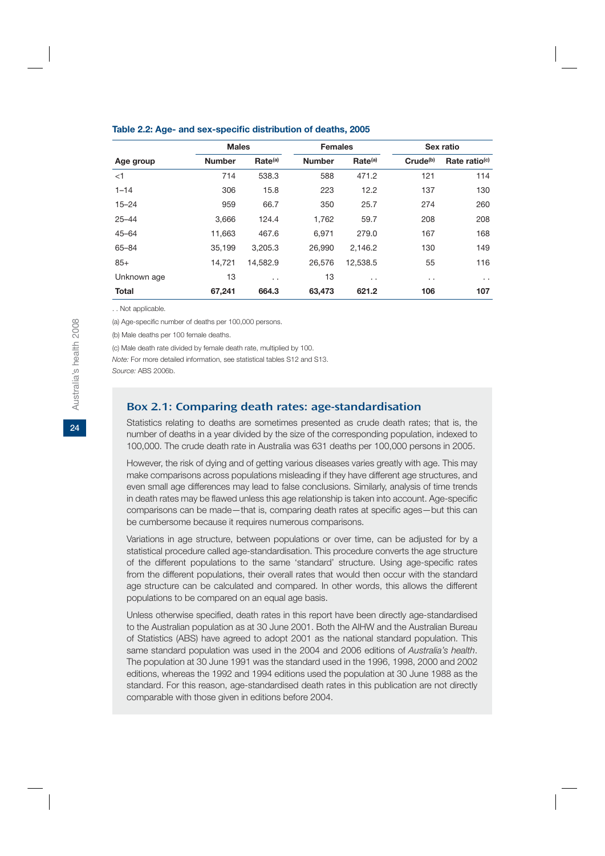|              | <b>Males</b>  |                     | <b>Females</b> |                     | Sex ratio            |                           |  |
|--------------|---------------|---------------------|----------------|---------------------|----------------------|---------------------------|--|
| Age group    | <b>Number</b> | Rate <sup>(a)</sup> | <b>Number</b>  | Rate <sup>(a)</sup> | Crude <sup>(b)</sup> | Rate ratio <sup>(c)</sup> |  |
| $<$ 1        | 714           | 538.3               | 588            | 471.2               | 121                  | 114                       |  |
| $1 - 14$     | 306           | 15.8                | 223            | 12.2                | 137                  | 130                       |  |
| $15 - 24$    | 959           | 66.7                | 350            | 25.7                | 274                  | 260                       |  |
| $25 - 44$    | 3.666         | 124.4               | 1,762          | 59.7                | 208                  | 208                       |  |
| $45 - 64$    | 11,663        | 467.6               | 6.971          | 279.0               | 167                  | 168                       |  |
| 65-84        | 35.199        | 3.205.3             | 26,990         | 2.146.2             | 130                  | 149                       |  |
| $85+$        | 14,721        | 14,582.9            | 26,576         | 12,538.5            | 55                   | 116                       |  |
| Unknown age  | 13            | $\cdot$ $\cdot$     | 13             | $\cdot$ .           | $\sim$ $\sim$        | $\sim$ $\sim$             |  |
| <b>Total</b> | 67,241        | 664.3               | 63,473         | 621.2               | 106                  | 107                       |  |

#### **Table 2.2: Age- and sex-specific distribution of deaths, 2005**

. . Not applicable.

(a) Age-specific number of deaths per 100,000 persons.

(b) Male deaths per 100 female deaths.

(c) Male death rate divided by female death rate, multiplied by 100.

*Note:* For more detailed information, see statistical tables S12 and S13.

*Source:* ABS 2006b.

#### Box 2.1: Comparing death rates: age-standardisation

Statistics relating to deaths are sometimes presented as crude death rates; that is, the number of deaths in a year divided by the size of the corresponding population, indexed to 100,000. The crude death rate in Australia was 631 deaths per 100,000 persons in 2005.

However, the risk of dying and of getting various diseases varies greatly with age. This may make comparisons across populations misleading if they have different age structures, and even small age differences may lead to false conclusions. Similarly, analysis of time trends in death rates may be flawed unless this age relationship is taken into account. Age-specific comparisons can be made—that is, comparing death rates at specific ages—but this can be cumbersome because it requires numerous comparisons.

Variations in age structure, between populations or over time, can be adjusted for by a statistical procedure called age-standardisation. This procedure converts the age structure of the different populations to the same 'standard' structure. Using age-specific rates from the different populations, their overall rates that would then occur with the standard age structure can be calculated and compared. In other words, this allows the different populations to be compared on an equal age basis.

Unless otherwise specified, death rates in this report have been directly age-standardised to the Australian population as at 30 June 2001. Both the AIHW and the Australian Bureau of Statistics (ABS) have agreed to adopt 2001 as the national standard population. This same standard population was used in the 2004 and 2006 editions of *Australia's health*. The population at 30 June 1991 was the standard used in the 1996, 1998, 2000 and 2002 editions, whereas the 1992 and 1994 editions used the population at 30 June 1988 as the standard. For this reason, age-standardised death rates in this publication are not directly comparable with those given in editions before 2004.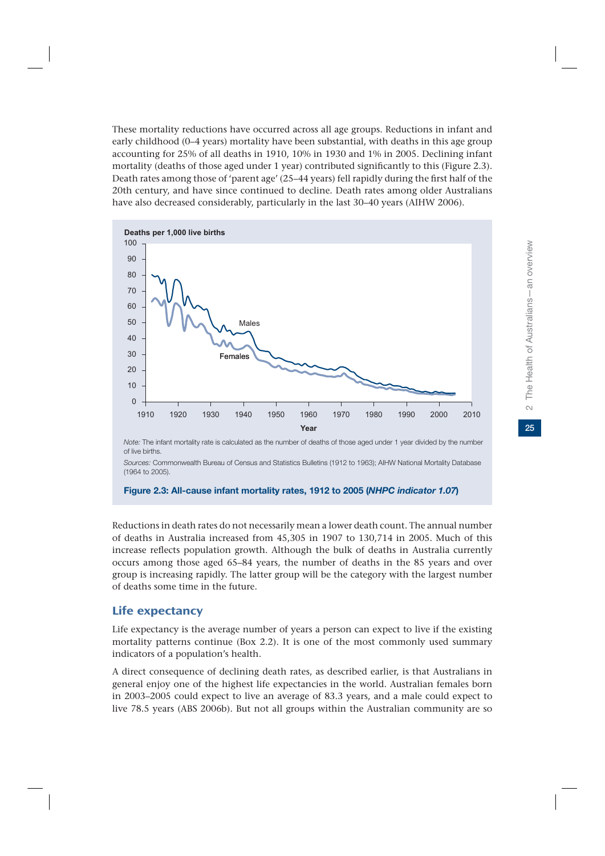These mortality reductions have occurred across all age groups. Reductions in infant and early childhood (0–4 years) mortality have been substantial, with deaths in this age group accounting for 25% of all deaths in 1910, 10% in 1930 and 1% in 2005. Declining infant mortality (deaths of those aged under 1 year) contributed significantly to this (Figure 2.3). Death rates among those of 'parent age' (25–44 years) fell rapidly during the first half of the 20th century, and have since continued to decline. Death rates among older Australians have also decreased considerably, particularly in the last 30–40 years (AIHW 2006).



*Note:* The infant mortality rate is calculated as the number of deaths of those aged under 1 year divided by the number of live births.

*Sources:* Commonwealth Bureau of Census and Statistics Bulletins (1912 to 1963); AIHW National Mortality Database (1964 to 2005).

#### **Figure 2.3: All-cause infant mortality rates, 1912 to 2005 (***NHPC indicator 1.07***)**

Reductions in death rates do not necessarily mean a lower death count. The annual number of deaths in Australia increased from 45,305 in 1907 to 130,714 in 2005. Much of this increase reflects population growth. Although the bulk of deaths in Australia currently occurs among those aged 65–84 years, the number of deaths in the 85 years and over group is increasing rapidly. The latter group will be the category with the largest number of deaths some time in the future.

## Life expectancy

Life expectancy is the average number of years a person can expect to live if the existing mortality patterns continue (Box 2.2). It is one of the most commonly used summary indicators of a population's health.

A direct consequence of declining death rates, as described earlier, is that Australians in general enjoy one of the highest life expectancies in the world. Australian females born in 2003–2005 could expect to live an average of 83.3 years, and a male could expect to live 78.5 years (ABS 2006b). But not all groups within the Australian community are so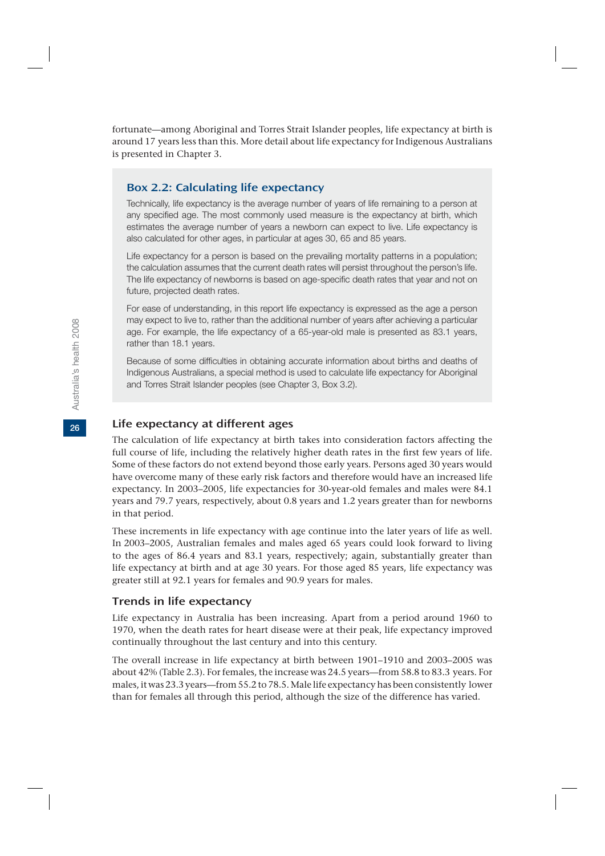fortunate—among Aboriginal and Torres Strait Islander peoples, life expectancy at birth is around 17 years less than this. More detail about life expectancy for Indigenous Australians is presented in Chapter 3.

#### Box 2.2: Calculating life expectancy

Technically, life expectancy is the average number of years of life remaining to a person at any specified age. The most commonly used measure is the expectancy at birth, which estimates the average number of years a newborn can expect to live. Life expectancy is also calculated for other ages, in particular at ages 30, 65 and 85 years.

Life expectancy for a person is based on the prevailing mortality patterns in a population; the calculation assumes that the current death rates will persist throughout the person's life. The life expectancy of newborns is based on age-specific death rates that year and not on future, projected death rates.

For ease of understanding, in this report life expectancy is expressed as the age a person may expect to live to, rather than the additional number of years after achieving a particular age. For example, the life expectancy of a 65-year-old male is presented as 83.1 years, rather than 18.1 years.

Because of some difficulties in obtaining accurate information about births and deaths of Indigenous Australians, a special method is used to calculate life expectancy for Aboriginal and Torres Strait Islander peoples (see Chapter 3, Box 3.2).

## Life expectancy at different ages

The calculation of life expectancy at birth takes into consideration factors affecting the full course of life, including the relatively higher death rates in the first few years of life. Some of these factors do not extend beyond those early years. Persons aged 30 years would have overcome many of these early risk factors and therefore would have an increased life expectancy. In 2003–2005, life expectancies for 30-year-old females and males were 84.1 years and 79.7 years, respectively, about 0.8 years and 1.2 years greater than for newborns in that period.

These increments in life expectancy with age continue into the later years of life as well. In 2003–2005, Australian females and males aged 65 years could look forward to living to the ages of 86.4 years and 83.1 years, respectively; again, substantially greater than life expectancy at birth and at age 30 years. For those aged 85 years, life expectancy was greater still at 92.1 years for females and 90.9 years for males.

#### Trends in life expectancy

Life expectancy in Australia has been increasing. Apart from a period around 1960 to 1970, when the death rates for heart disease were at their peak, life expectancy improved continually throughout the last century and into this century.

The overall increase in life expectancy at birth between 1901–1910 and 2003–2005 was about 42% (Table 2.3). For females, the increase was 24.5 years—from 58.8 to 83.3 years. For males, it was 23.3 years—from 55.2 to 78.5. Male life expectancy has been consistently lower than for females all through this period, although the size of the difference has varied.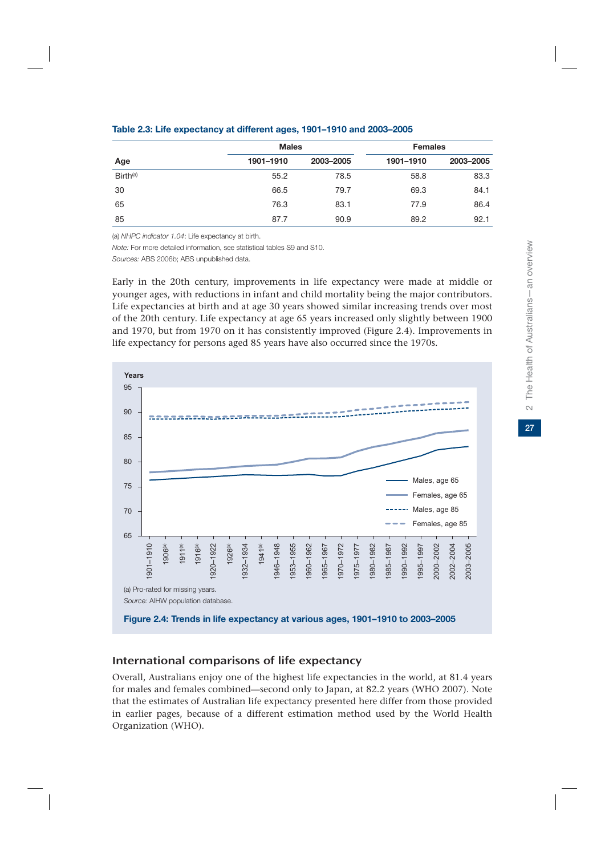|               | <b>Males</b> |           | <b>Females</b> |           |  |
|---------------|--------------|-----------|----------------|-----------|--|
| Age           | 1901-1910    | 2003-2005 | 1901-1910      | 2003-2005 |  |
| $Birth^{(a)}$ | 55.2         | 78.5      | 58.8           | 83.3      |  |
| 30            | 66.5         | 79.7      | 69.3           | 84.1      |  |
| 65            | 76.3         | 83.1      | 77.9           | 86.4      |  |
| 85            | 87.7         | 90.9      | 89.2           | 92.1      |  |

#### **Table 2.3: Life expectancy at different ages, 1901–1910 and 2003–2005**

(a) *NHPC indicator 1.04*: Life expectancy at birth.

*Note:* For more detailed information, see statistical tables S9 and S10.

*Sources:* ABS 2006b; ABS unpublished data.

Early in the 20th century, improvements in life expectancy were made at middle or younger ages, with reductions in infant and child mortality being the major contributors. Life expectancies at birth and at age 30 years showed similar increasing trends over most of the 20th century. Life expectancy at age 65 years increased only slightly between 1900 and 1970, but from 1970 on it has consistently improved (Figure 2.4). Improvements in life expectancy for persons aged 85 years have also occurred since the 1970s.



#### International comparisons of life expectancy

Overall, Australians enjoy one of the highest life expectancies in the world, at 81.4 years for males and females combined—second only to Japan, at 82.2 years (WHO 2007). Note that the estimates of Australian life expectancy presented here differ from those provided in earlier pages, because of a different estimation method used by the World Health Organization (WHO).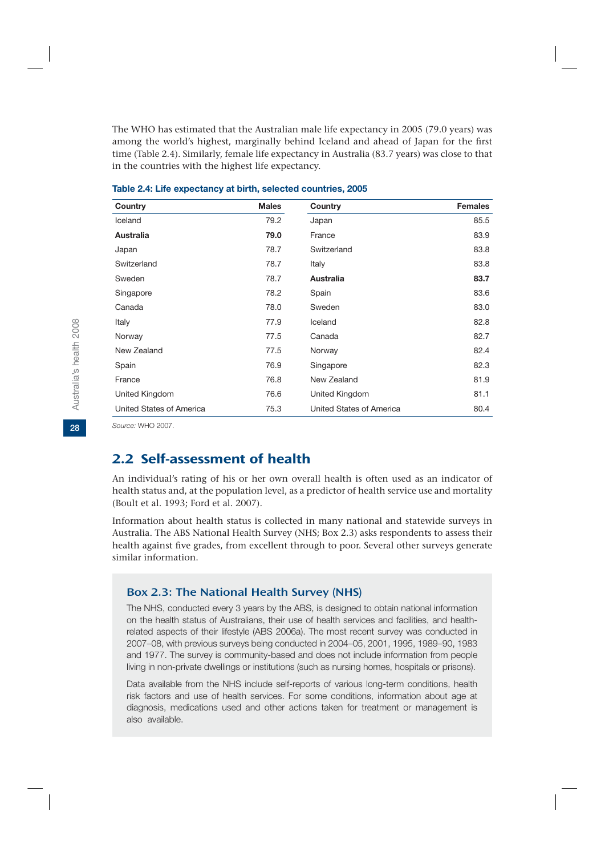The WHO has estimated that the Australian male life expectancy in 2005 (79.0 years) was among the world's highest, marginally behind Iceland and ahead of Japan for the first time (Table 2.4). Similarly, female life expectancy in Australia (83.7 years) was close to that in the countries with the highest life expectancy.

| Country                  | <b>Males</b> | Country                  | <b>Females</b> |
|--------------------------|--------------|--------------------------|----------------|
| Iceland                  | 79.2         | Japan                    | 85.5           |
| <b>Australia</b>         | 79.0         | France                   | 83.9           |
| Japan                    | 78.7         | Switzerland              | 83.8           |
| Switzerland              | 78.7         | Italy                    | 83.8           |
| Sweden                   | 78.7         | <b>Australia</b>         | 83.7           |
| Singapore                | 78.2         | Spain                    | 83.6           |
| Canada                   | 78.0         | Sweden                   | 83.0           |
| Italy                    | 77.9         | Iceland                  | 82.8           |
| Norway                   | 77.5         | Canada                   | 82.7           |
| New Zealand              | 77.5         | Norway                   | 82.4           |
| Spain                    | 76.9         | Singapore                | 82.3           |
| France                   | 76.8         | New Zealand              | 81.9           |
| United Kingdom           | 76.6         | United Kingdom           | 81.1           |
| United States of America | 75.3         | United States of America | 80.4           |

*Source:* WHO 2007.

## 2.2 Self-assessment of health

An individual's rating of his or her own overall health is often used as an indicator of health status and, at the population level, as a predictor of health service use and mortality (Boult et al. 1993; Ford et al. 2007).

Information about health status is collected in many national and statewide surveys in Australia. The ABS National Health Survey (NHS; Box 2.3) asks respondents to assess their health against five grades, from excellent through to poor. Several other surveys generate similar information.

#### Box 2.3: The National Health Survey (NHS)

The NHS, conducted every 3 years by the ABS, is designed to obtain national information on the health status of Australians, their use of health services and facilities, and healthrelated aspects of their lifestyle (ABS 2006a). The most recent survey was conducted in 2007–08, with previous surveys being conducted in 2004–05, 2001, 1995, 1989–90, 1983 and 1977. The survey is community-based and does not include information from people living in non-private dwellings or institutions (such as nursing homes, hospitals or prisons).

Data available from the NHS include self-reports of various long-term conditions, health risk factors and use of health services. For some conditions, information about age at diagnosis, medications used and other actions taken for treatment or management is also available.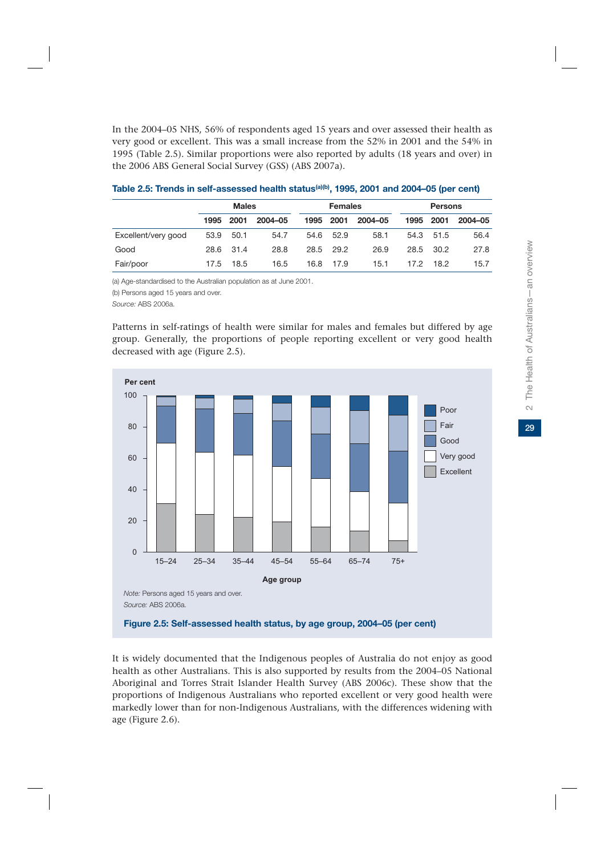In the 2004–05 NHS, 56% of respondents aged 15 years and over assessed their health as very good or excellent. This was a small increase from the 52% in 2001 and the 54% in 1995 (Table 2.5). Similar proportions were also reported by adults (18 years and over) in the 2006 ABS General Social Survey (GSS) (ABS 2007a).

|                     | <b>Males</b> |           |         | <b>Females</b> |           | <b>Persons</b> |      |           |         |
|---------------------|--------------|-----------|---------|----------------|-----------|----------------|------|-----------|---------|
|                     | 1995         | 2001      | 2004-05 | 1995           | 2001      | 2004-05        | 1995 | 2001      | 2004-05 |
| Excellent/very good |              | 53.9 50.1 | 54.7    |                | 54.6 52.9 | 58.1           | 54.3 | 51.5      | 56.4    |
| Good                |              | 28.6 31.4 | 28.8    |                | 28.5 29.2 | 26.9           |      | 28.5 30.2 | 27.8    |
| Fair/poor           | 17.5         | 18.5      | 16.5    | 16.8           | 17.9      | 15.1           | 17.2 | 18.2      | 15.7    |

#### **Table 2.5: Trends in self-assessed health status(a)(b), 1995, 2001 and 2004–05 (per cent)**

(a) Age-standardised to the Australian population as at June 2001.

(b) Persons aged 15 years and over.

*Source:* ABS 2006a.

Patterns in self-ratings of health were similar for males and females but differed by age group. Generally, the proportions of people reporting excellent or very good health decreased with age (Figure 2.5).



It is widely documented that the Indigenous peoples of Australia do not enjoy as good health as other Australians. This is also supported by results from the 2004–05 National Aboriginal and Torres Strait Islander Health Survey (ABS 2006c). These show that the proportions of Indigenous Australians who reported excellent or very good health were markedly lower than for non-Indigenous Australians, with the differences widening with age (Figure 2.6).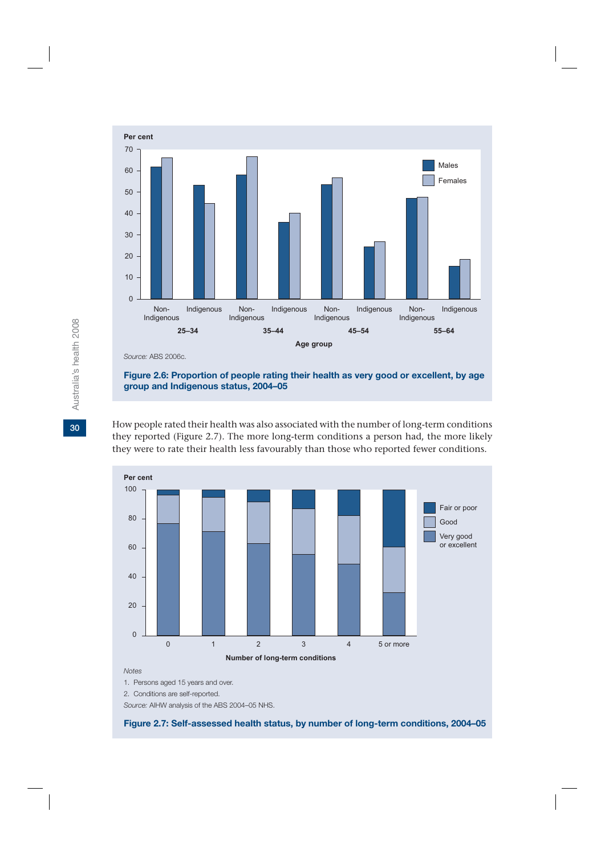

**Figure 2.6: Proportion of people rating their health as very good or excellent, by age group and Indigenous status, 2004–05**

How people rated their health was also associated with the number of long-term conditions they reported (Figure 2.7). The more long-term conditions a person had, the more likely they were to rate their health less favourably than those who reported fewer conditions.



1. Persons aged 15 years and over.

2. Conditions are self-reported.

*Source:* AIHW analysis of the ABS 2004–05 NHS.

**Figure 2.7: Self-assessed health status, by number of long-term conditions, 2004–05**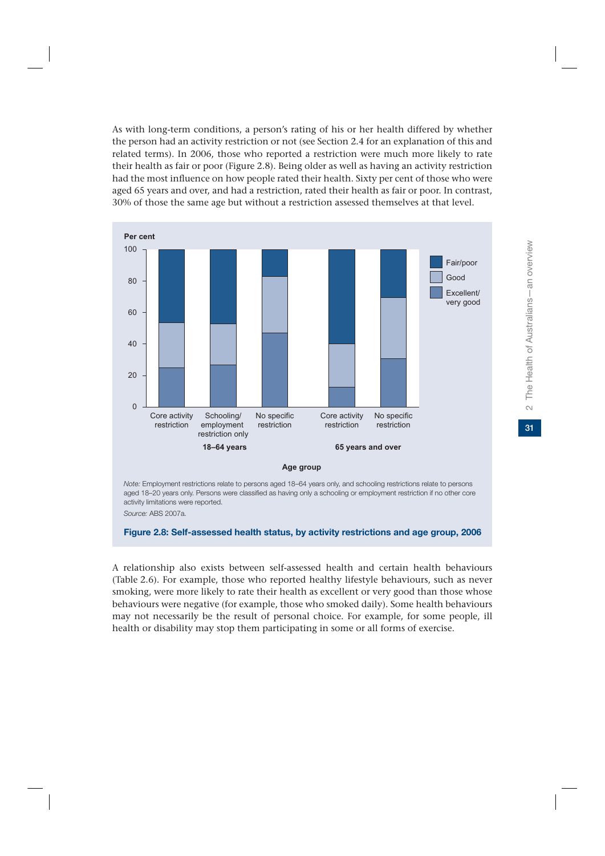As with long-term conditions, a person's rating of his or her health differed by whether the person had an activity restriction or not (see Section 2.4 for an explanation of this and related terms). In 2006, those who reported a restriction were much more likely to rate their health as fair or poor (Figure 2.8). Being older as well as having an activity restriction had the most influence on how people rated their health. Sixty per cent of those who were aged 65 years and over, and had a restriction, rated their health as fair or poor. In contrast, 30% of those the same age but without a restriction assessed themselves at that level.



*Source:* ABS 2007a.

**Figure 2.8: Self-assessed health status, by activity restrictions and age group, 2006**

A relationship also exists between self-assessed health and certain health behaviours (Table 2.6). For example, those who reported healthy lifestyle behaviours, such as never smoking, were more likely to rate their health as excellent or very good than those whose behaviours were negative (for example, those who smoked daily). Some health behaviours may not necessarily be the result of personal choice. For example, for some people, ill health or disability may stop them participating in some or all forms of exercise.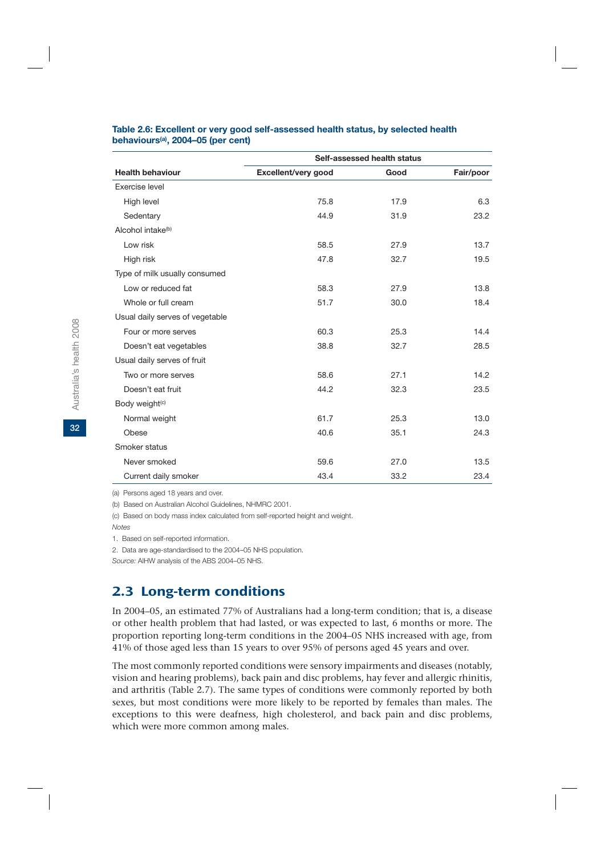|                                 | Self-assessed health status |      |           |
|---------------------------------|-----------------------------|------|-----------|
| <b>Health behaviour</b>         | Excellent/very good         | Good | Fair/poor |
| Exercise level                  |                             |      |           |
| High level                      | 75.8                        | 17.9 | 6.3       |
| Sedentary                       | 44.9                        | 31.9 | 23.2      |
| Alcohol intake <sup>(b)</sup>   |                             |      |           |
| Low risk                        | 58.5                        | 27.9 | 13.7      |
| High risk                       | 47.8                        | 32.7 | 19.5      |
| Type of milk usually consumed   |                             |      |           |
| Low or reduced fat              | 58.3                        | 27.9 | 13.8      |
| Whole or full cream             | 51.7                        | 30.0 | 18.4      |
| Usual daily serves of vegetable |                             |      |           |
| Four or more serves             | 60.3                        | 25.3 | 14.4      |
| Doesn't eat vegetables          | 38.8                        | 32.7 | 28.5      |
| Usual daily serves of fruit     |                             |      |           |
| Two or more serves              | 58.6                        | 27.1 | 14.2      |
| Doesn't eat fruit               | 44.2                        | 32.3 | 23.5      |
| Body weight(c)                  |                             |      |           |
| Normal weight                   | 61.7                        | 25.3 | 13.0      |
| Obese                           | 40.6                        | 35.1 | 24.3      |
| Smoker status                   |                             |      |           |
| Never smoked                    | 59.6                        | 27.0 | 13.5      |
| Current daily smoker            | 43.4                        | 33.2 | 23.4      |

#### **Table 2.6: Excellent or very good self-assessed health status, by selected health behaviours(a), 2004–05 (per cent)**

(a) Persons aged 18 years and over.

(b) Based on Australian Alcohol Guidelines, NHMRC 2001.

(c) Based on body mass index calculated from self-reported height and weight.

*Notes*

1. Based on self-reported information.

2. Data are age-standardised to the 2004–05 NHS population.

*Source:* AIHW analysis of the ABS 2004–05 NHS.

## 2.3 Long-term conditions

In 2004–05, an estimated 77% of Australians had a long-term condition; that is, a disease or other health problem that had lasted, or was expected to last, 6 months or more. The proportion reporting long-term conditions in the 2004–05 NHS increased with age, from 41% of those aged less than 15 years to over 95% of persons aged 45 years and over.

The most commonly reported conditions were sensory impairments and diseases (notably, vision and hearing problems), back pain and disc problems, hay fever and allergic rhinitis, and arthritis (Table 2.7). The same types of conditions were commonly reported by both sexes, but most conditions were more likely to be reported by females than males. The exceptions to this were deafness, high cholesterol, and back pain and disc problems, which were more common among males.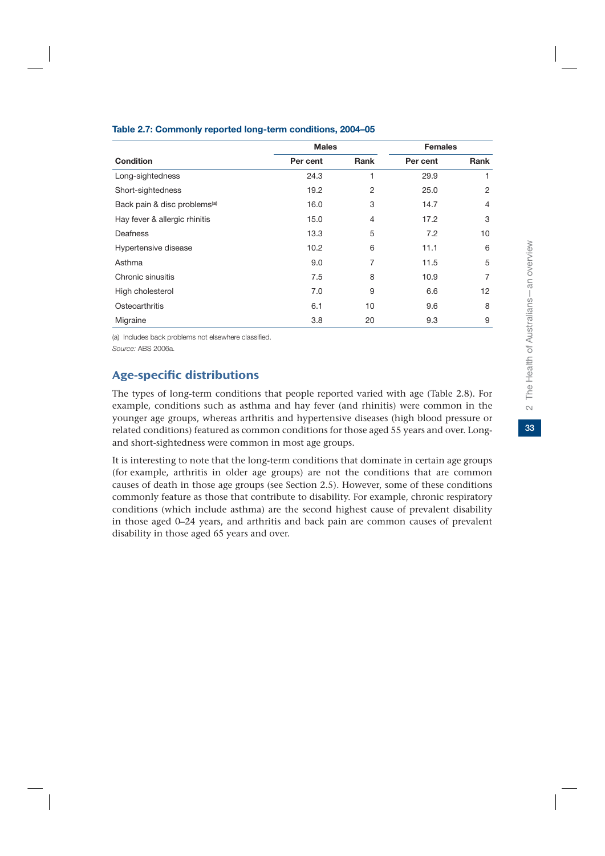|                                          | <b>Males</b> |      | <b>Females</b> |                |
|------------------------------------------|--------------|------|----------------|----------------|
| <b>Condition</b>                         | Per cent     | Rank | Per cent       | Rank           |
| Long-sightedness                         | 24.3         | 1    | 29.9           | 1              |
| Short-sightedness                        | 19.2         | 2    | 25.0           | 2              |
| Back pain & disc problems <sup>(a)</sup> | 16.0         | 3    | 14.7           | $\overline{4}$ |
| Hay fever & allergic rhinitis            | 15.0         | 4    | 17.2           | 3              |
| Deafness                                 | 13.3         | 5    | 7.2            | 10             |
| Hypertensive disease                     | 10.2         | 6    | 11.1           | 6              |
| Asthma                                   | 9.0          | 7    | 11.5           | 5              |
| Chronic sinusitis                        | 7.5          | 8    | 10.9           | $\overline{7}$ |
| High cholesterol                         | 7.0          | 9    | 6.6            | 12             |
| Osteoarthritis                           | 6.1          | 10   | 9.6            | 8              |
| Migraine                                 | 3.8          | 20   | 9.3            | 9              |

#### **Table 2.7: Commonly reported long-term conditions, 2004–05**

(a) Includes back problems not elsewhere classified. *Source:* ABS 2006a.

## Age-specific distributions

The types of long-term conditions that people reported varied with age (Table 2.8). For example, conditions such as asthma and hay fever (and rhinitis) were common in the younger age groups, whereas arthritis and hypertensive diseases (high blood pressure or related conditions) featured as common conditions for those aged 55 years and over. Longand short-sightedness were common in most age groups.

It is interesting to note that the long-term conditions that dominate in certain age groups (for example, arthritis in older age groups) are not the conditions that are common causes of death in those age groups (see Section 2.5). However, some of these conditions commonly feature as those that contribute to disability. For example, chronic respiratory conditions (which include asthma) are the second highest cause of prevalent disability in those aged 0–24 years, and arthritis and back pain are common causes of prevalent disability in those aged 65 years and over.

 $\sim$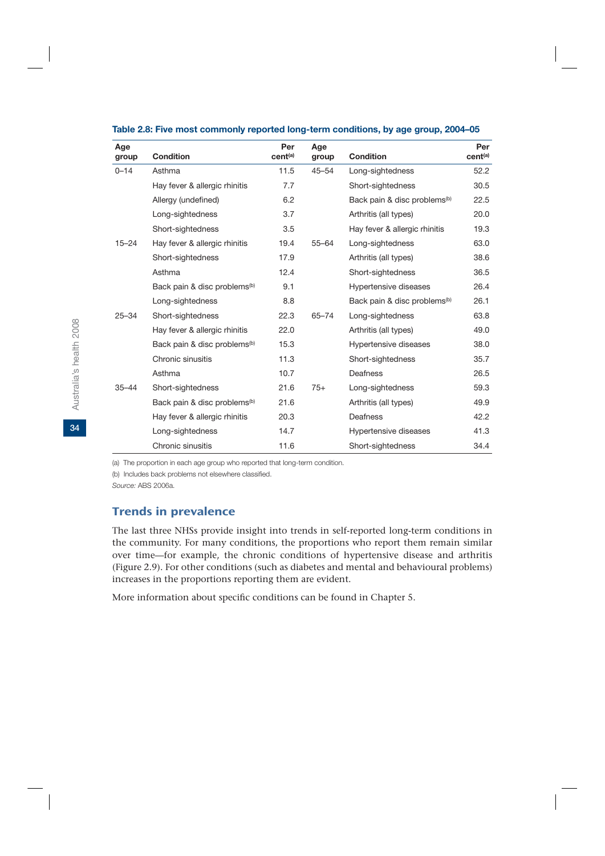| Age<br>group | <b>Condition</b>                         | Per<br>cent <sup>(a)</sup> | Age<br>group | <b>Condition</b>                         | Per<br>cent <sup>(a)</sup> |
|--------------|------------------------------------------|----------------------------|--------------|------------------------------------------|----------------------------|
| $0 - 14$     | Asthma                                   | 11.5                       | $45 - 54$    | Long-sightedness                         | 52.2                       |
|              | Hay fever & allergic rhinitis            | 7.7                        |              | Short-sightedness                        | 30.5                       |
|              | Allergy (undefined)                      | 6.2                        |              | Back pain & disc problems <sup>(b)</sup> | 22.5                       |
|              | Long-sightedness                         | 3.7                        |              | Arthritis (all types)                    | 20.0                       |
|              | Short-sightedness                        | 3.5                        |              | Hay fever & allergic rhinitis            | 19.3                       |
| $15 - 24$    | Hay fever & allergic rhinitis            | 19.4                       | $55 - 64$    | Long-sightedness                         | 63.0                       |
|              | Short-sightedness                        | 17.9                       |              | Arthritis (all types)                    | 38.6                       |
|              | Asthma                                   | 12.4                       |              | Short-sightedness                        | 36.5                       |
|              | Back pain & disc problems <sup>(b)</sup> | 9.1                        |              | Hypertensive diseases                    | 26.4                       |
|              | Long-sightedness                         | 8.8                        |              | Back pain & disc problems <sup>(b)</sup> | 26.1                       |
| $25 - 34$    | Short-sightedness                        | 22.3                       | 65-74        | Long-sightedness                         | 63.8                       |
|              | Hay fever & allergic rhinitis            | 22.0                       |              | Arthritis (all types)                    | 49.0                       |
|              | Back pain & disc problems <sup>(b)</sup> | 15.3                       |              | Hypertensive diseases                    | 38.0                       |
|              | Chronic sinusitis                        | 11.3                       |              | Short-sightedness                        | 35.7                       |
|              | Asthma                                   | 10.7                       |              | Deafness                                 | 26.5                       |
| $35 - 44$    | Short-sightedness                        | 21.6                       | $75+$        | Long-sightedness                         | 59.3                       |
|              | Back pain & disc problems <sup>(b)</sup> | 21.6                       |              | Arthritis (all types)                    | 49.9                       |
|              | Hay fever & allergic rhinitis            | 20.3                       |              | Deafness                                 | 42.2                       |
|              | Long-sightedness                         | 14.7                       |              | Hypertensive diseases                    | 41.3                       |
|              | Chronic sinusitis                        | 11.6                       |              | Short-sightedness                        | 34.4                       |

#### **Table 2.8: Five most commonly reported long-term conditions, by age group, 2004–05**

(a) The proportion in each age group who reported that long-term condition.

(b) Includes back problems not elsewhere classified.

*Source:* ABS 2006a.

#### Trends in prevalence

The last three NHSs provide insight into trends in self-reported long-term conditions in the community. For many conditions, the proportions who report them remain similar over time—for example, the chronic conditions of hypertensive disease and arthritis (Figure 2.9). For other conditions (such as diabetes and mental and behavioural problems) increases in the proportions reporting them are evident.

More information about specific conditions can be found in Chapter 5.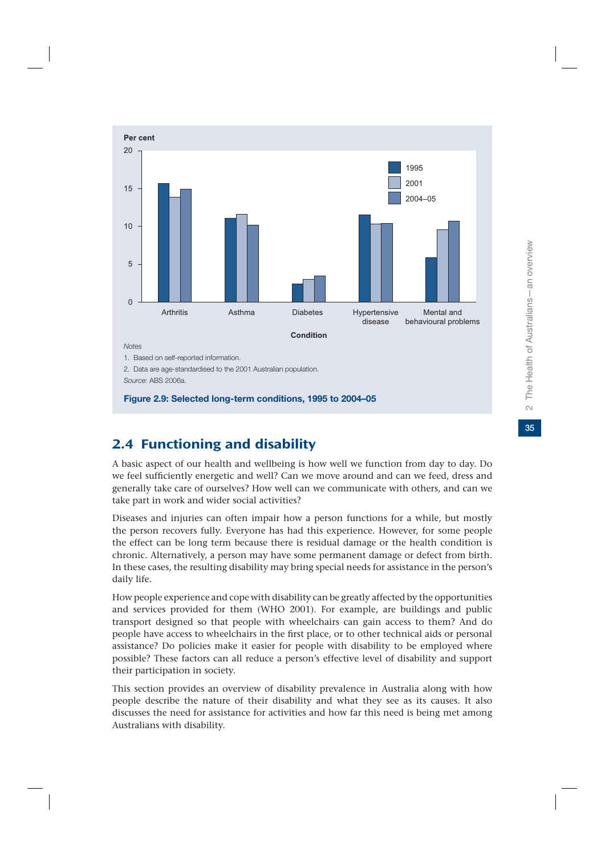

*Source:* ABS 2006a.

**Figure 2.9: Selected long-term conditions, 1995 to 2004–05**

## 2.4 Functioning and disability

A basic aspect of our health and wellbeing is how well we function from day to day. Do we feel sufficiently energetic and well? Can we move around and can we feed, dress and generally take care of ourselves? How well can we communicate with others, and can we take part in work and wider social activities?

Diseases and injuries can often impair how a person functions for a while, but mostly the person recovers fully. Everyone has had this experience. However, for some people the effect can be long term because there is residual damage or the health condition is chronic. Alternatively, a person may have some permanent damage or defect from birth. In these cases, the resulting disability may bring special needs for assistance in the person's daily life.

How people experience and cope with disability can be greatly affected by the opportunities and services provided for them (WHO 2001). For example, are buildings and public transport designed so that people with wheelchairs can gain access to them? And do people have access to wheelchairs in the first place, or to other technical aids or personal assistance? Do policies make it easier for people with disability to be employed where possible? These factors can all reduce a person's effective level of disability and support their participation in society.

This section provides an overview of disability prevalence in Australia along with how people describe the nature of their disability and what they see as its causes. It also discusses the need for assistance for activities and how far this need is being met among Australians with disability.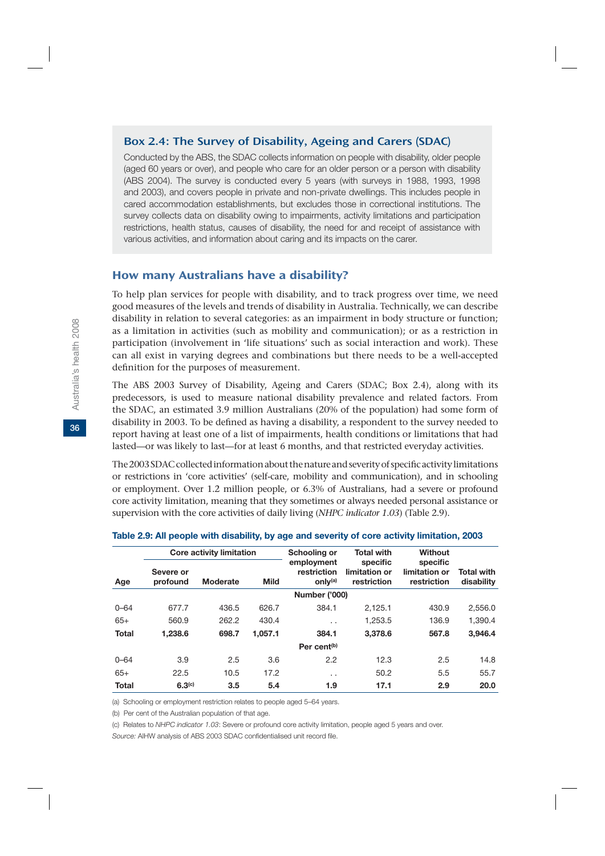## Box 2.4: The Survey of Disability, Ageing and Carers (SDAC)

Conducted by the ABS, the SDAC collects information on people with disability, older people (aged 60 years or over), and people who care for an older person or a person with disability (ABS 2004). The survey is conducted every 5 years (with surveys in 1988, 1993, 1998 and 2003), and covers people in private and non-private dwellings. This includes people in cared accommodation establishments, but excludes those in correctional institutions. The survey collects data on disability owing to impairments, activity limitations and participation restrictions, health status, causes of disability, the need for and receipt of assistance with various activities, and information about caring and its impacts on the carer.

#### How many Australians have a disability?

To help plan services for people with disability, and to track progress over time, we need good measures of the levels and trends of disability in Australia. Technically, we can describe disability in relation to several categories: as an impairment in body structure or function; as a limitation in activities (such as mobility and communication); or as a restriction in participation (involvement in 'life situations' such as social interaction and work). These can all exist in varying degrees and combinations but there needs to be a well-accepted definition for the purposes of measurement.

The ABS 2003 Survey of Disability, Ageing and Carers (SDAC; Box 2.4), along with its predecessors, is used to measure national disability prevalence and related factors. From the SDAC, an estimated 3.9 million Australians (20% of the population) had some form of disability in 2003. To be defined as having a disability, a respondent to the survey needed to report having at least one of a list of impairments, health conditions or limitations that had lasted—or was likely to last—for at least 6 months, and that restricted everyday activities.

The 2003 SDAC collected information about the nature and severity of specific activity limitations or restrictions in 'core activities' (self-care, mobility and communication), and in schooling or employment. Over 1.2 million people, or 6.3% of Australians, had a severe or profound core activity limitation, meaning that they sometimes or always needed personal assistance or supervision with the core activities of daily living (*NHPC indicator 1.03*) (Table 2.9).

|              |                       | <b>Core activity limitation</b> |             | Schooling or                                     | <b>Total with</b>                        | <b>Without</b>                           |                                 |
|--------------|-----------------------|---------------------------------|-------------|--------------------------------------------------|------------------------------------------|------------------------------------------|---------------------------------|
| Age          | Severe or<br>profound | <b>Moderate</b>                 | <b>Mild</b> | employment<br>restriction<br>only <sup>(a)</sup> | specific<br>limitation or<br>restriction | specific<br>limitation or<br>restriction | <b>Total with</b><br>disability |
|              |                       |                                 |             | <b>Number ('000)</b>                             |                                          |                                          |                                 |
| $0 - 64$     | 677.7                 | 436.5                           | 626.7       | 384.1                                            | 2,125.1                                  | 430.9                                    | 2.556.0                         |
| $65+$        | 560.9                 | 262.2                           | 430.4       | $\ddot{\phantom{0}}$                             | 1.253.5                                  | 136.9                                    | 1.390.4                         |
| <b>Total</b> | 1.238.6               | 698.7                           | 1.057.1     | 384.1                                            | 3.378.6                                  | 567.8                                    | 3.946.4                         |
|              |                       |                                 |             | Per cent <sup>(b)</sup>                          |                                          |                                          |                                 |
| $0 - 64$     | 3.9                   | 2.5                             | 3.6         | 2.2                                              | 12.3                                     | 2.5                                      | 14.8                            |
| $65+$        | 22.5                  | 10.5                            | 17.2        | $\ddot{\phantom{0}}$                             | 50.2                                     | 5.5                                      | 55.7                            |
| <b>Total</b> | 6.3 <sup>(c)</sup>    | 3.5                             | 5.4         | 1.9                                              | 17.1                                     | 2.9                                      | 20.0                            |

#### **Table 2.9: All people with disability, by age and severity of core activity limitation, 2003**

(a) Schooling or employment restriction relates to people aged 5–64 years.

(b) Per cent of the Australian population of that age.

(c) Relates to *NHPC indicator 1.03*: Severe or profound core activity limitation, people aged 5 years and over.

*Source:* AIHW analysis of ABS 2003 SDAC confidentialised unit record file.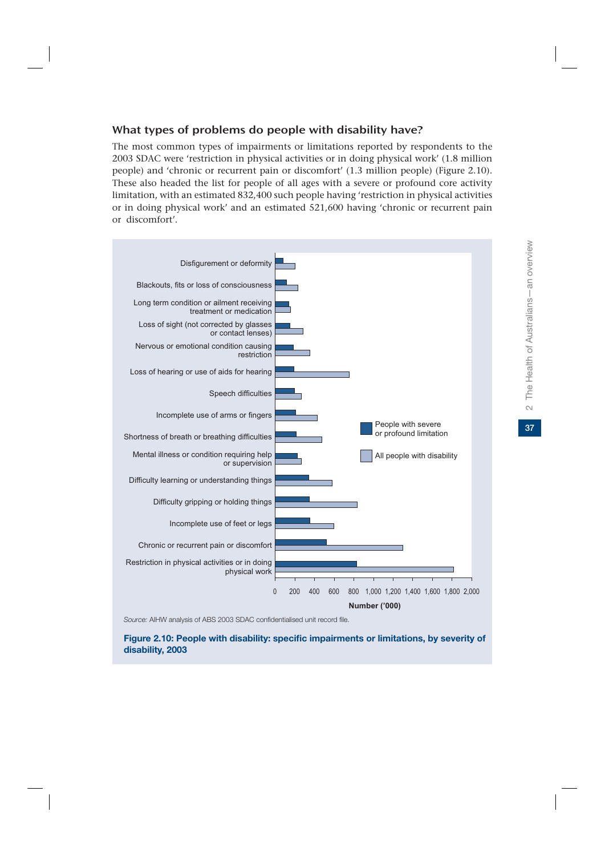## What types of problems do people with disability have?

The most common types of impairments or limitations reported by respondents to the 2003 SDAC were 'restriction in physical activities or in doing physical work' (1.8 million people) and 'chronic or recurrent pain or discomfort' (1.3 million people) (Figure 2.10). These also headed the list for people of all ages with a severe or profound core activity limitation, with an estimated 832,400 such people having 'restriction in physical activities or in doing physical work' and an estimated 521,600 having 'chronic or recurrent pain or discomfort'.



*Source:* AIHW analysis of ABS 2003 SDAC confidentialised unit record file.

#### **Figure 2.10: People with disability: specific impairments or limitations, by severity of disability, 2003**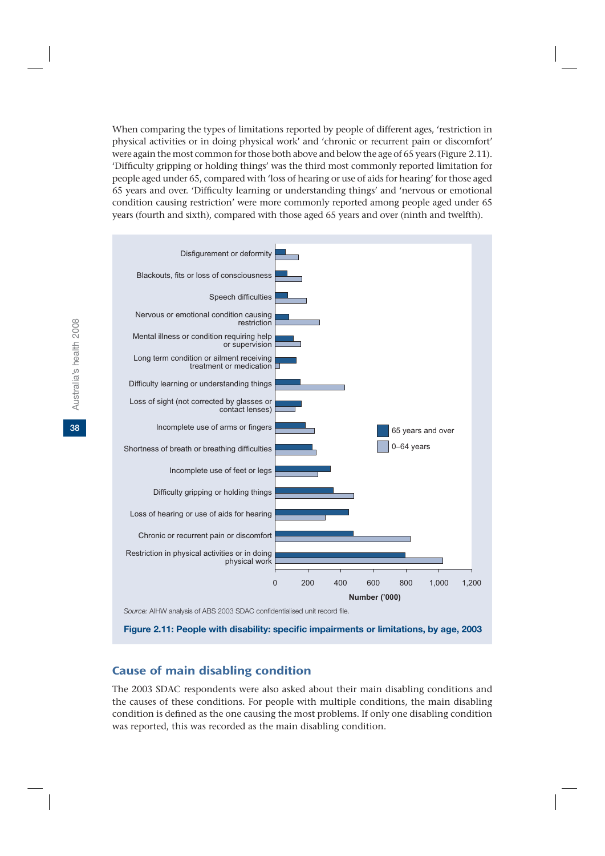When comparing the types of limitations reported by people of different ages, 'restriction in physical activities or in doing physical work' and 'chronic or recurrent pain or discomfort' were again the most common for those both above and below the age of 65 years (Figure 2.11). 'Difficulty gripping or holding things' was the third most commonly reported limitation for people aged under 65, compared with 'loss of hearing or use of aids for hearing' for those aged 65 years and over. 'Difficulty learning or understanding things' and 'nervous or emotional condition causing restriction' were more commonly reported among people aged under 65 years (fourth and sixth), compared with those aged 65 years and over (ninth and twelfth).



*Source:* AIHW analysis of ABS 2003 SDAC confidentialised unit record file.

**Figure 2.11: People with disability: specific impairments or limitations, by age, 2003**

## Cause of main disabling condition

The 2003 SDAC respondents were also asked about their main disabling conditions and the causes of these conditions. For people with multiple conditions, the main disabling condition is defined as the one causing the most problems. If only one disabling condition was reported, this was recorded as the main disabling condition.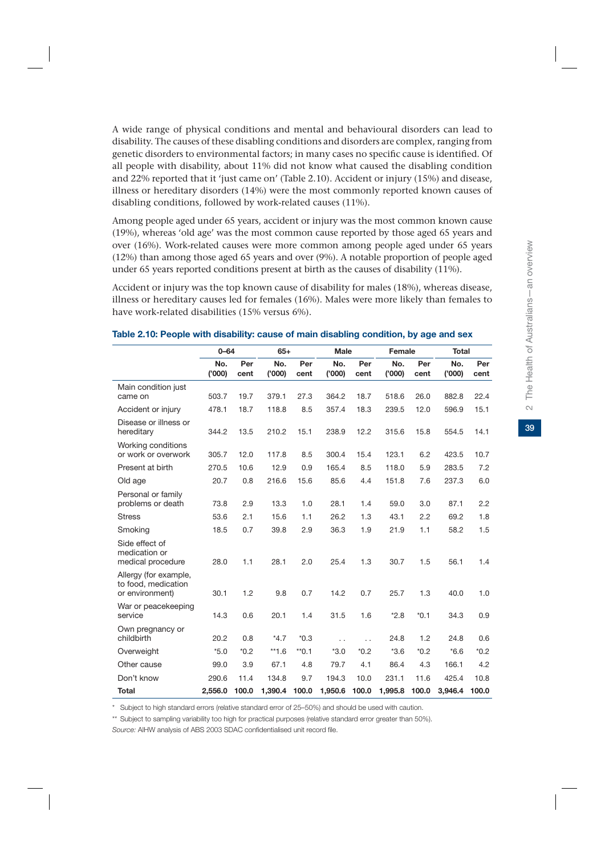A wide range of physical conditions and mental and behavioural disorders can lead to disability. The causes of these disabling conditions and disorders are complex, ranging from genetic disorders to environmental factors; in many cases no specific cause is identified. Of all people with disability, about 11% did not know what caused the disabling condition and 22% reported that it 'just came on' (Table 2.10). Accident or injury (15%) and disease, illness or hereditary disorders (14%) were the most commonly reported known causes of disabling conditions, followed by work-related causes (11%).

Among people aged under 65 years, accident or injury was the most common known cause (19%), whereas 'old age' was the most common cause reported by those aged 65 years and over (16%). Work-related causes were more common among people aged under 65 years (12%) than among those aged 65 years and over (9%). A notable proportion of people aged under 65 years reported conditions present at birth as the causes of disability (11%).

Accident or injury was the top known cause of disability for males (18%), whereas disease, illness or hereditary causes led for females (16%). Males were more likely than females to have work-related disabilities (15% versus 6%).

|                                                                 | $0 - 64$      |             | $65+$         |             | <b>Male</b>          |                      | <b>Female</b> |             | <b>Total</b> |             |
|-----------------------------------------------------------------|---------------|-------------|---------------|-------------|----------------------|----------------------|---------------|-------------|--------------|-------------|
|                                                                 | No.<br>('000) | Per<br>cent | No.<br>('000) | Per<br>cent | No.<br>(000)         | Per<br>cent          | No.<br>('000) | Per<br>cent | No.<br>(000) | Per<br>cent |
| Main condition just<br>came on                                  | 503.7         | 19.7        | 379.1         | 27.3        | 364.2                | 18.7                 | 518.6         | 26.0        | 882.8        | 22.4        |
| Accident or injury                                              | 478.1         | 18.7        | 118.8         | 8.5         | 357.4                | 18.3                 | 239.5         | 12.0        | 596.9        | 15.1        |
| Disease or illness or<br>hereditary                             | 344.2         | 13.5        | 210.2         | 15.1        | 238.9                | 12.2                 | 315.6         | 15.8        | 554.5        | 14.1        |
| Working conditions<br>or work or overwork                       | 305.7         | 12.0        | 117.8         | 8.5         | 300.4                | 15.4                 | 123.1         | 6.2         | 423.5        | 10.7        |
| Present at birth                                                | 270.5         | 10.6        | 12.9          | 0.9         | 165.4                | 8.5                  | 118.0         | 5.9         | 283.5        | 7.2         |
| Old age                                                         | 20.7          | 0.8         | 216.6         | 15.6        | 85.6                 | 4.4                  | 151.8         | 7.6         | 237.3        | 6.0         |
| Personal or family<br>problems or death                         | 73.8          | 2.9         | 13.3          | 1.0         | 28.1                 | 1.4                  | 59.0          | 3.0         | 87.1         | 2.2         |
| <b>Stress</b>                                                   | 53.6          | 2.1         | 15.6          | 1.1         | 26.2                 | 1.3                  | 43.1          | 2.2         | 69.2         | 1.8         |
| Smoking                                                         | 18.5          | 0.7         | 39.8          | 2.9         | 36.3                 | 1.9                  | 21.9          | 1.1         | 58.2         | 1.5         |
| Side effect of<br>medication or<br>medical procedure            | 28.0          | 1.1         | 28.1          | 2.0         | 25.4                 | 1.3                  | 30.7          | 1.5         | 56.1         | 1.4         |
| Allergy (for example,<br>to food, medication<br>or environment) | 30.1          | 1.2         | 9.8           | 0.7         | 14.2                 | 0.7                  | 25.7          | 1.3         | 40.0         | 1.0         |
| War or peacekeeping<br>service                                  | 14.3          | 0.6         | 20.1          | 1.4         | 31.5                 | 1.6                  | $*2.8$        | $*0.1$      | 34.3         | 0.9         |
| Own pregnancy or<br>childbirth                                  | 20.2          | 0.8         | $*4.7$        | $*0.3$      | $\ddot{\phantom{0}}$ | $\ddot{\phantom{0}}$ | 24.8          | 1.2         | 24.8         | 0.6         |
| Overweight                                                      | $*5.0$        | $*0.2$      | $**1.6$       | $*$ 0.1     | $*3.0$               | $*0.2$               | $*3.6$        | $*0.2$      | $*6.6$       | $*0.2$      |
| Other cause                                                     | 99.0          | 3.9         | 67.1          | 4.8         | 79.7                 | 4.1                  | 86.4          | 4.3         | 166.1        | 4.2         |
| Don't know                                                      | 290.6         | 11.4        | 134.8         | 9.7         | 194.3                | 10.0                 | 231.1         | 11.6        | 425.4        | 10.8        |
| <b>Total</b>                                                    | 2,556.0       | 100.0       | 1,390.4       | 100.0       | 1,950.6              | 100.0                | 1,995.8       | 100.0       | 3,946.4      | 100.0       |

#### **Table 2.10: People with disability: cause of main disabling condition, by age and sex**

\* Subject to high standard errors (relative standard error of 25–50%) and should be used with caution.

\*\* Subject to sampling variability too high for practical purposes (relative standard error greater than 50%).

*Source:* AIHW analysis of ABS 2003 SDAC confidentialised unit record file.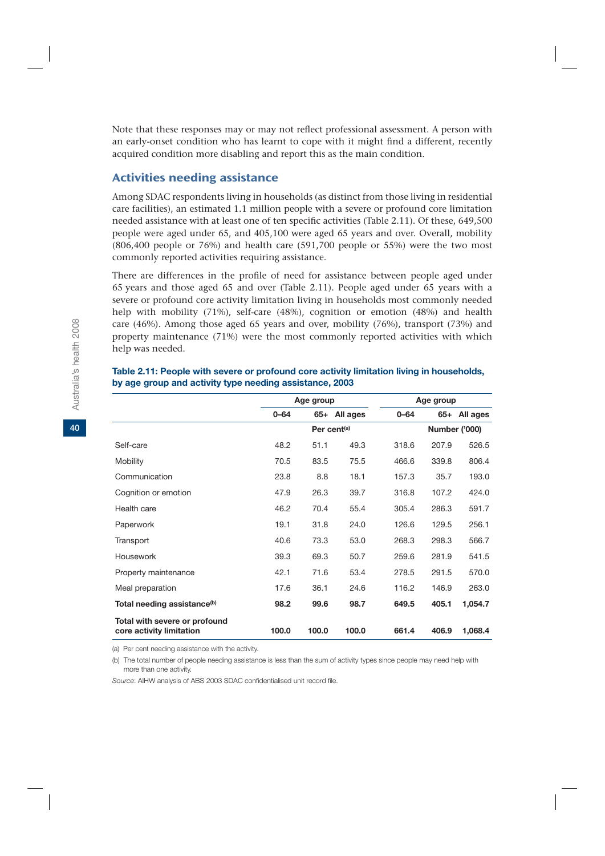Note that these responses may or may not reflect professional assessment. A person with an early-onset condition who has learnt to cope with it might find a different, recently acquired condition more disabling and report this as the main condition.

## Activities needing assistance

Among SDAC respondents living in households (as distinct from those living in residential care facilities), an estimated 1.1 million people with a severe or profound core limitation needed assistance with at least one of ten specific activities (Table 2.11). Of these, 649,500 people were aged under 65, and 405,100 were aged 65 years and over. Overall, mobility (806,400 people or 76%) and health care (591,700 people or 55%) were the two most commonly reported activities requiring assistance.

There are differences in the profile of need for assistance between people aged under 65 years and those aged 65 and over (Table 2.11). People aged under 65 years with a severe or profound core activity limitation living in households most commonly needed help with mobility (71%), self-care (48%), cognition or emotion (48%) and health care (46%). Among those aged 65 years and over, mobility (76%), transport (73%) and property maintenance (71%) were the most commonly reported activities with which help was needed.

|                                                           |          | Age group               |              |          | Age group |               |
|-----------------------------------------------------------|----------|-------------------------|--------------|----------|-----------|---------------|
|                                                           | $0 - 64$ |                         | 65+ All ages | $0 - 64$ |           | 65+ All ages  |
|                                                           |          | Per cent <sup>(a)</sup> |              |          |           | Number ('000) |
| Self-care                                                 | 48.2     | 51.1                    | 49.3         | 318.6    | 207.9     | 526.5         |
| Mobility                                                  | 70.5     | 83.5                    | 75.5         | 466.6    | 339.8     | 806.4         |
| Communication                                             | 23.8     | 8.8                     | 18.1         | 157.3    | 35.7      | 193.0         |
| Cognition or emotion                                      | 47.9     | 26.3                    | 39.7         | 316.8    | 107.2     | 424.0         |
| Health care                                               | 46.2     | 70.4                    | 55.4         | 305.4    | 286.3     | 591.7         |
| Paperwork                                                 | 19.1     | 31.8                    | 24.0         | 126.6    | 129.5     | 256.1         |
| Transport                                                 | 40.6     | 73.3                    | 53.0         | 268.3    | 298.3     | 566.7         |
| Housework                                                 | 39.3     | 69.3                    | 50.7         | 259.6    | 281.9     | 541.5         |
| Property maintenance                                      | 42.1     | 71.6                    | 53.4         | 278.5    | 291.5     | 570.0         |
| Meal preparation                                          | 17.6     | 36.1                    | 24.6         | 116.2    | 146.9     | 263.0         |
| Total needing assistance <sup>(b)</sup>                   | 98.2     | 99.6                    | 98.7         | 649.5    | 405.1     | 1,054.7       |
| Total with severe or profound<br>core activity limitation | 100.0    | 100.0                   | 100.0        | 661.4    | 406.9     | 1,068.4       |

#### **Table 2.11: People with severe or profound core activity limitation living in households, by age group and activity type needing assistance, 2003**

(a) Per cent needing assistance with the activity.

(b) The total number of people needing assistance is less than the sum of activity types since people may need help with more than one activity.

*Source*: AIHW analysis of ABS 2003 SDAC confidentialised unit record file.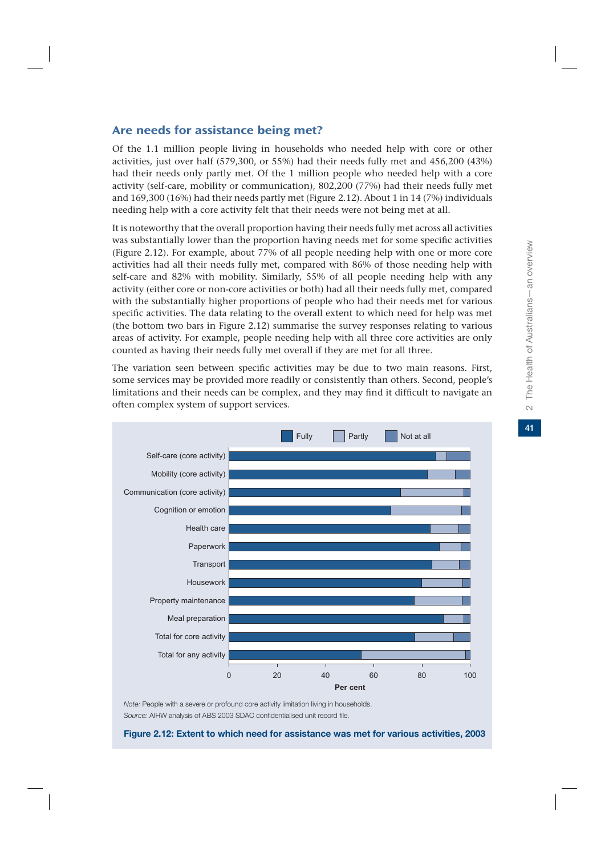41

### Are needs for assistance being met?

Of the 1.1 million people living in households who needed help with core or other activities, just over half (579,300, or 55%) had their needs fully met and 456,200 (43%) had their needs only partly met. Of the 1 million people who needed help with a core activity (self-care, mobility or communication), 802,200 (77%) had their needs fully met and 169,300 (16%) had their needs partly met (Figure 2.12). About 1 in 14 (7%) individuals needing help with a core activity felt that their needs were not being met at all.

It is noteworthy that the overall proportion having their needs fully met across all activities was substantially lower than the proportion having needs met for some specific activities (Figure 2.12). For example, about 77% of all people needing help with one or more core activities had all their needs fully met, compared with 86% of those needing help with self-care and 82% with mobility. Similarly, 55% of all people needing help with any activity (either core or non-core activities or both) had all their needs fully met, compared with the substantially higher proportions of people who had their needs met for various specific activities. The data relating to the overall extent to which need for help was met (the bottom two bars in Figure 2.12) summarise the survey responses relating to various areas of activity. For example, people needing help with all three core activities are only counted as having their needs fully met overall if they are met for all three.

The variation seen between specific activities may be due to two main reasons. First, some services may be provided more readily or consistently than others. Second, people's limitations and their needs can be complex, and they may find it difficult to navigate an often complex system of support services.



*Note:* People with a severe or profound core activity limitation living in households. *Source:* AIHW analysis of ABS 2003 SDAC confidentialised unit record file.

**Figure 2.12: Extent to which need for assistance was met for various activities, 2003**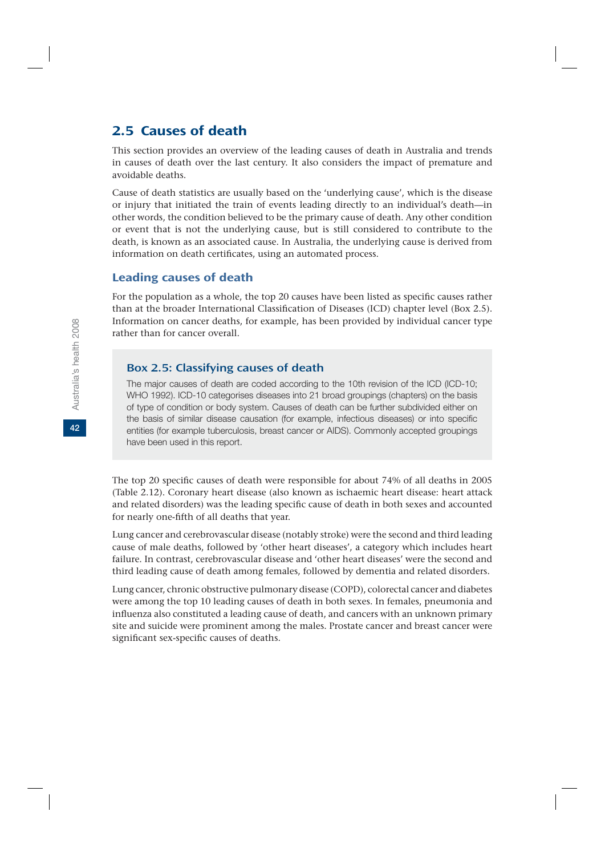## 2.5 Causes of death

This section provides an overview of the leading causes of death in Australia and trends in causes of death over the last century. It also considers the impact of premature and avoidable deaths.

Cause of death statistics are usually based on the 'underlying cause', which is the disease or injury that initiated the train of events leading directly to an individual's death—in other words, the condition believed to be the primary cause of death. Any other condition or event that is not the underlying cause, but is still considered to contribute to the death, is known as an associated cause. In Australia, the underlying cause is derived from information on death certificates, using an automated process.

#### Leading causes of death

For the population as a whole, the top 20 causes have been listed as specific causes rather than at the broader International Classification of Diseases (ICD) chapter level (Box 2.5). Information on cancer deaths, for example, has been provided by individual cancer type rather than for cancer overall.

#### Box 2.5: Classifying causes of death

The major causes of death are coded according to the 10th revision of the ICD (ICD-10; WHO 1992). ICD-10 categorises diseases into 21 broad groupings (chapters) on the basis of type of condition or body system. Causes of death can be further subdivided either on the basis of similar disease causation (for example, infectious diseases) or into specific entities (for example tuberculosis, breast cancer or AIDS). Commonly accepted groupings have been used in this report.

The top 20 specific causes of death were responsible for about 74% of all deaths in 2005 (Table 2.12). Coronary heart disease (also known as ischaemic heart disease: heart attack and related disorders) was the leading specific cause of death in both sexes and accounted for nearly one-fifth of all deaths that year.

Lung cancer and cerebrovascular disease (notably stroke) were the second and third leading cause of male deaths, followed by 'other heart diseases', a category which includes heart failure. In contrast, cerebrovascular disease and 'other heart diseases' were the second and third leading cause of death among females, followed by dementia and related disorders.

Lung cancer, chronic obstructive pulmonary disease (COPD), colorectal cancer and diabetes were among the top 10 leading causes of death in both sexes. In females, pneumonia and influenza also constituted a leading cause of death, and cancers with an unknown primary site and suicide were prominent among the males. Prostate cancer and breast cancer were significant sex-specific causes of deaths.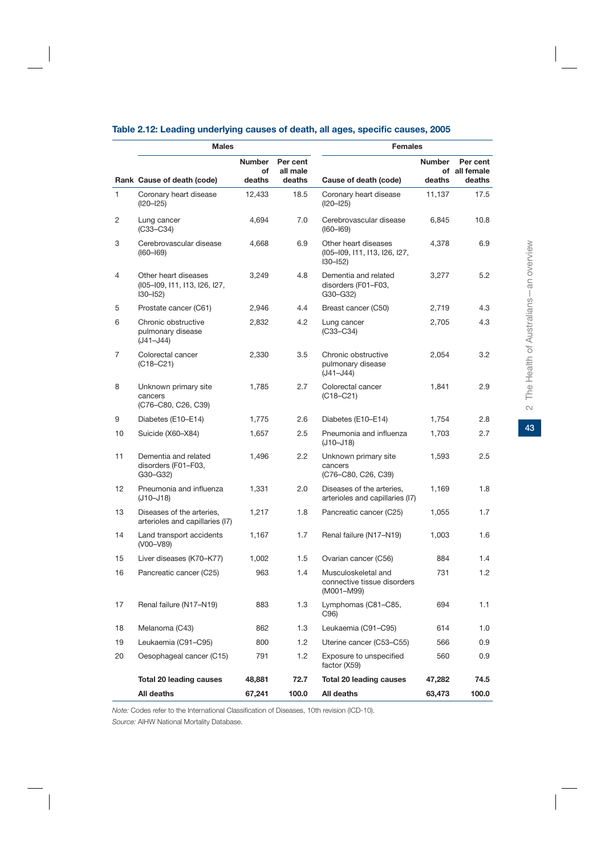|                | <b>Males</b>                                                         |                     |                      | <b>Females</b>                                                       |               |                           |  |
|----------------|----------------------------------------------------------------------|---------------------|----------------------|----------------------------------------------------------------------|---------------|---------------------------|--|
|                |                                                                      | <b>Number</b><br>of | Per cent<br>all male |                                                                      | <b>Number</b> | Per cent<br>of all female |  |
|                | Rank Cause of death (code)                                           | deaths              | deaths               | Cause of death (code)                                                | deaths        | deaths                    |  |
| $\mathbf{1}$   | Coronary heart disease<br>$(I20 - I25)$                              | 12,433              | 18.5                 | Coronary heart disease<br>$(I20 - I25)$                              | 11,137        | 17.5                      |  |
| 2              | Lung cancer<br>$(C33-C34)$                                           | 4,694               | 7.0                  | Cerebrovascular disease<br>$(I60 - I69)$                             | 6,845         | 10.8                      |  |
| 3              | Cerebrovascular disease<br>$(I60 - I69)$                             | 4.668               | 6.9                  | Other heart diseases<br>(105-109, 111, 113, 126, 127,<br>$130 - 152$ | 4,378         | 6.9                       |  |
| $\overline{4}$ | Other heart diseases<br>(105-109, 111, 113, 126, 127,<br>$130 - 152$ | 3,249               | 4.8                  | Dementia and related<br>disorders (F01-F03,<br>G30-G32)              | 3,277         | 5.2                       |  |
| 5              | Prostate cancer (C61)                                                | 2,946               | 4.4                  | Breast cancer (C50)                                                  | 2,719         | 4.3                       |  |
| 6              | Chronic obstructive<br>pulmonary disease<br>$(J41 - J44)$            | 2,832               | 4.2                  | Lung cancer<br>$(C33-C34)$                                           | 2,705         | 4.3                       |  |
| 7              | Colorectal cancer<br>(C18–C21)                                       | 2,330               | 3.5                  | Chronic obstructive<br>pulmonary disease<br>(J41-J44)                | 2,054         | $3.2\phantom{0}$          |  |
| 8              | Unknown primary site<br>cancers<br>(C76-C80, C26, C39)               | 1,785               | 2.7                  | Colorectal cancer<br>$(C18-C21)$                                     | 1,841         | 2.9                       |  |
| 9              | Diabetes (E10–E14)                                                   | 1,775               | 2.6                  | Diabetes (E10-E14)                                                   | 1,754         | 2.8                       |  |
| 10             | Suicide (X60-X84)                                                    | 1,657               | 2.5                  | Pneumonia and influenza<br>(J10-J18)                                 | 1.703         | 2.7                       |  |
| 11             | Dementia and related<br>disorders (F01-F03,<br>$G30-G32$             | 1,496               | 2.2                  | Unknown primary site<br>cancers<br>(C76–C80, C26, C39)               | 1,593         | 2.5                       |  |
| 12             | Pneumonia and influenza<br>$(J10 - J18)$                             | 1,331               | 2.0                  | Diseases of the arteries,<br>arterioles and capillaries (I7)         | 1,169         | 1.8                       |  |
| 13             | Diseases of the arteries,<br>arterioles and capillaries (I7)         | 1,217               | 1.8                  | Pancreatic cancer (C25)                                              | 1,055         | 1.7                       |  |
| 14             | Land transport accidents<br>(V00-V89)                                | 1,167               | 1.7                  | Renal failure (N17-N19)                                              | 1,003         | 1.6                       |  |
| 15             | Liver diseases (K70-K77)                                             | 1,002               | 1.5                  | Ovarian cancer (C56)                                                 | 884           | 1.4                       |  |
| 16             | Pancreatic cancer (C25)                                              | 963                 | 1.4                  | Musculoskeletal and<br>connective tissue disorders<br>(M001-M99)     | 731           | 1.2                       |  |
| 17             | Renal failure (N17-N19)                                              | 883                 | 1.3                  | Lymphomas (C81-C85,<br>C96)                                          | 694           | 1.1                       |  |
| 18             | Melanoma (C43)                                                       | 862                 | 1.3                  | Leukaemia (C91-C95)                                                  | 614           | 1.0                       |  |
| 19             | Leukaemia (C91-C95)                                                  | 800                 | 1.2                  | Uterine cancer (C53-C55)                                             | 566           | 0.9                       |  |
| 20             | Oesophageal cancer (C15)                                             | 791                 | 1.2                  | Exposure to unspecified<br>factor (X59)                              | 560           | 0.9                       |  |
|                | Total 20 leading causes                                              | 48,881              | 72.7                 | <b>Total 20 leading causes</b>                                       | 47,282        | 74.5                      |  |
|                | All deaths                                                           | 67,241              | 100.0                | All deaths                                                           | 63,473        | 100.0                     |  |

#### **Table 2.12: Leading underlying causes of death, all ages, specific causes, 2005**

*Note:* Codes refer to the International Classification of Diseases, 10th revision (ICD-10).

*Source:* AIHW National Mortality Database.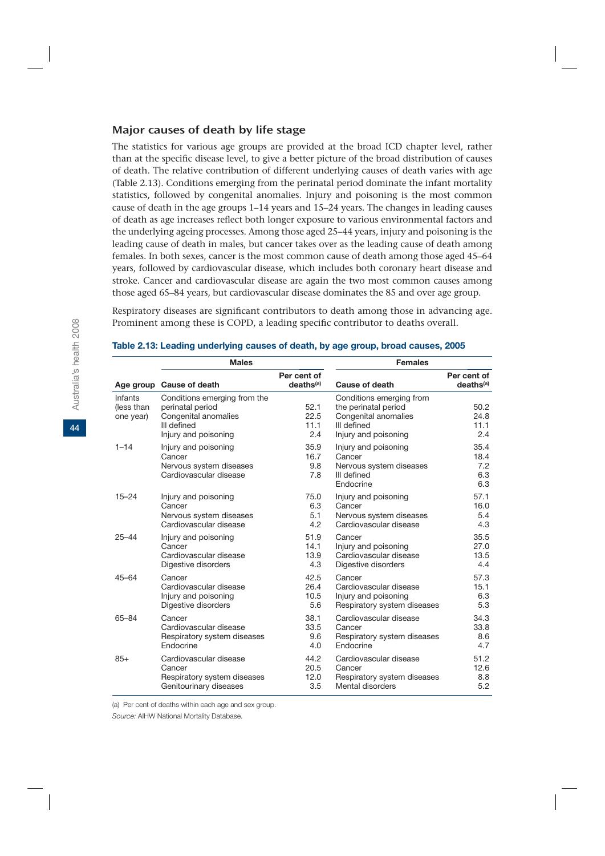#### Major causes of death by life stage

The statistics for various age groups are provided at the broad ICD chapter level, rather than at the specific disease level, to give a better picture of the broad distribution of causes of death. The relative contribution of different underlying causes of death varies with age (Table 2.13). Conditions emerging from the perinatal period dominate the infant mortality statistics, followed by congenital anomalies. Injury and poisoning is the most common cause of death in the age groups 1–14 years and 15–24 years. The changes in leading causes of death as age increases reflect both longer exposure to various environmental factors and the underlying ageing processes. Among those aged 25–44 years, injury and poisoning is the leading cause of death in males, but cancer takes over as the leading cause of death among females. In both sexes, cancer is the most common cause of death among those aged 45–64 years, followed by cardiovascular disease, which includes both coronary heart disease and stroke. Cancer and cardiovascular disease are again the two most common causes among those aged 65–84 years, but cardiovascular disease dominates the 85 and over age group.

Respiratory diseases are significant contributors to death among those in advancing age. Prominent among these is COPD, a leading specific contributor to deaths overall.

|                                    | <b>Males</b>                                                                                                    |                                      | <b>Females</b>                                                                                                  |                                      |  |  |
|------------------------------------|-----------------------------------------------------------------------------------------------------------------|--------------------------------------|-----------------------------------------------------------------------------------------------------------------|--------------------------------------|--|--|
|                                    | Age group Cause of death                                                                                        | Per cent of<br>deaths <sup>(a)</sup> | Cause of death                                                                                                  | Per cent of<br>deaths <sup>(a)</sup> |  |  |
| Infants<br>(less than<br>one year) | Conditions emerging from the<br>perinatal period<br>Congenital anomalies<br>III defined<br>Injury and poisoning | 52.1<br>22.5<br>11.1<br>2.4          | Conditions emerging from<br>the perinatal period<br>Congenital anomalies<br>III defined<br>Injury and poisoning | 50.2<br>24.8<br>11.1<br>2.4          |  |  |
| $1 - 14$                           | Injury and poisoning<br>Cancer<br>Nervous system diseases<br>Cardiovascular disease                             | 35.9<br>16.7<br>9.8<br>7.8           | Injury and poisoning<br>Cancer<br>Nervous system diseases<br>III defined<br>Endocrine                           | 35.4<br>18.4<br>7.2<br>6.3<br>6.3    |  |  |
| $15 - 24$                          | Injury and poisoning                                                                                            | 75.0                                 | Injury and poisoning                                                                                            | 57.1                                 |  |  |
|                                    | Cancer                                                                                                          | 6.3                                  | Cancer                                                                                                          | 16.0                                 |  |  |
|                                    | Nervous system diseases                                                                                         | 5.1                                  | Nervous system diseases                                                                                         | 5.4                                  |  |  |
|                                    | Cardiovascular disease                                                                                          | 4.2                                  | Cardiovascular disease                                                                                          | 4.3                                  |  |  |
| $25 - 44$                          | Injury and poisoning                                                                                            | 51.9                                 | Cancer                                                                                                          | 35.5                                 |  |  |
|                                    | Cancer                                                                                                          | 14.1                                 | Injury and poisoning                                                                                            | 27.0                                 |  |  |
|                                    | Cardiovascular disease                                                                                          | 13.9                                 | Cardiovascular disease                                                                                          | 13.5                                 |  |  |
|                                    | Digestive disorders                                                                                             | 4.3                                  | Digestive disorders                                                                                             | 4.4                                  |  |  |
| $45 - 64$                          | Cancer                                                                                                          | 42.5                                 | Cancer                                                                                                          | 57.3                                 |  |  |
|                                    | Cardiovascular disease                                                                                          | 26.4                                 | Cardiovascular disease                                                                                          | 15.1                                 |  |  |
|                                    | Injury and poisoning                                                                                            | 10.5                                 | Injury and poisoning                                                                                            | 6.3                                  |  |  |
|                                    | Digestive disorders                                                                                             | 5.6                                  | Respiratory system diseases                                                                                     | 5.3                                  |  |  |
| 65-84                              | Cancer                                                                                                          | 38.1                                 | Cardiovascular disease                                                                                          | 34.3                                 |  |  |
|                                    | Cardiovascular disease                                                                                          | 33.5                                 | Cancer                                                                                                          | 33.8                                 |  |  |
|                                    | Respiratory system diseases                                                                                     | 9.6                                  | Respiratory system diseases                                                                                     | 8.6                                  |  |  |
|                                    | Endocrine                                                                                                       | 4.0                                  | Endocrine                                                                                                       | 4.7                                  |  |  |
| $85+$                              | Cardiovascular disease                                                                                          | 44.2                                 | Cardiovascular disease                                                                                          | 51.2                                 |  |  |
|                                    | Cancer                                                                                                          | 20.5                                 | Cancer                                                                                                          | 12.6                                 |  |  |
|                                    | Respiratory system diseases                                                                                     | 12.0                                 | Respiratory system diseases                                                                                     | 8.8                                  |  |  |
|                                    | Genitourinary diseases                                                                                          | 3.5                                  | Mental disorders                                                                                                | 5.2                                  |  |  |

#### **Table 2.13: Leading underlying causes of death, by age group, broad causes, 2005**

(a) Per cent of deaths within each age and sex group.

*Source:* AIHW National Mortality Database.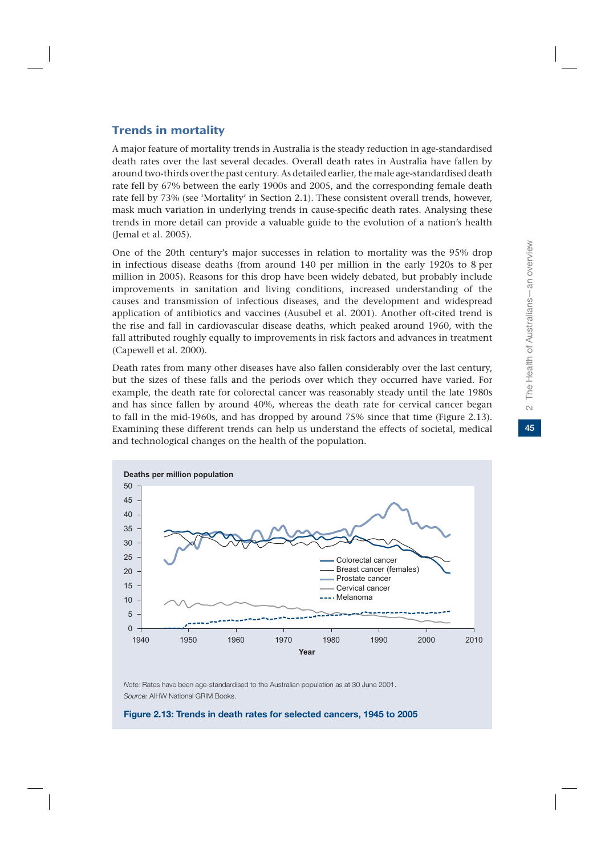## Trends in mortality

A major feature of mortality trends in Australia is the steady reduction in age-standardised death rates over the last several decades. Overall death rates in Australia have fallen by around two-thirds over the past century. As detailed earlier, the male age-standardised death rate fell by 67% between the early 1900s and 2005, and the corresponding female death rate fell by 73% (see 'Mortality' in Section 2.1). These consistent overall trends, however, mask much variation in underlying trends in cause-specific death rates. Analysing these trends in more detail can provide a valuable guide to the evolution of a nation's health (Jemal et al. 2005).

One of the 20th century's major successes in relation to mortality was the 95% drop in infectious disease deaths (from around 140 per million in the early 1920s to 8 per million in 2005). Reasons for this drop have been widely debated, but probably include improvements in sanitation and living conditions, increased understanding of the causes and transmission of infectious diseases, and the development and widespread application of antibiotics and vaccines (Ausubel et al. 2001). Another oft-cited trend is the rise and fall in cardiovascular disease deaths, which peaked around 1960, with the fall attributed roughly equally to improvements in risk factors and advances in treatment (Capewell et al. 2000).

Death rates from many other diseases have also fallen considerably over the last century, but the sizes of these falls and the periods over which they occurred have varied. For example, the death rate for colorectal cancer was reasonably steady until the late 1980s and has since fallen by around 40%, whereas the death rate for cervical cancer began to fall in the mid-1960s, and has dropped by around 75% since that time (Figure 2.13). Examining these different trends can help us understand the effects of societal, medical and technological changes on the health of the population.



*Note:* Rates have been age-standardised to the Australian population as at 30 June 2001. *Source:* AIHW National GRIM Books.

**Figure 2.13: Trends in death rates for selected cancers, 1945 to 2005**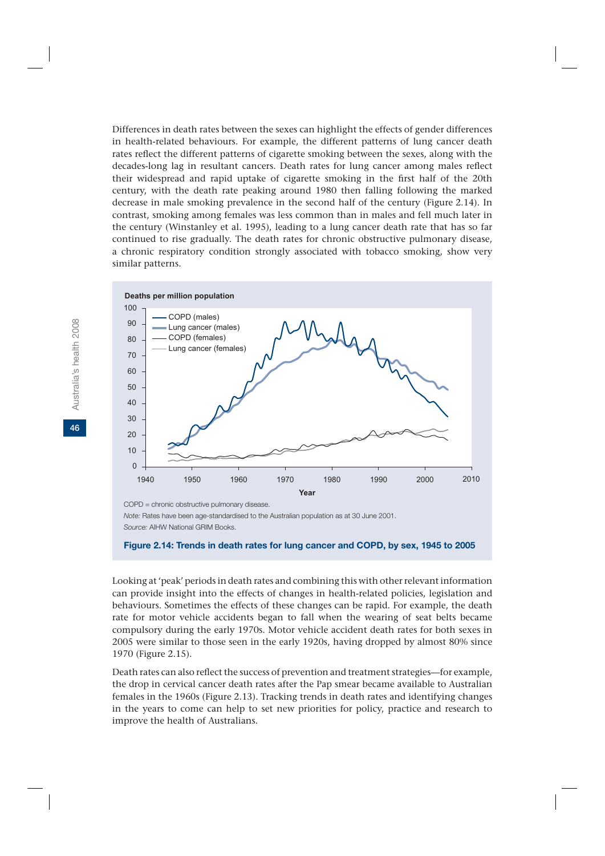Differences in death rates between the sexes can highlight the effects of gender differences in health-related behaviours. For example, the different patterns of lung cancer death rates reflect the different patterns of cigarette smoking between the sexes, along with the decades-long lag in resultant cancers. Death rates for lung cancer among males reflect their widespread and rapid uptake of cigarette smoking in the first half of the 20th century, with the death rate peaking around 1980 then falling following the marked decrease in male smoking prevalence in the second half of the century (Figure 2.14). In contrast, smoking among females was less common than in males and fell much later in the century (Winstanley et al. 1995), leading to a lung cancer death rate that has so far continued to rise gradually. The death rates for chronic obstructive pulmonary disease, a chronic respiratory condition strongly associated with tobacco smoking, show very similar patterns.



*Note:* Rates have been age-standardised to the Australian population as at 30 June 2001. *Source:* AIHW National GRIM Books.

Looking at 'peak' periods in death rates and combining this with other relevant information can provide insight into the effects of changes in health-related policies, legislation and behaviours. Sometimes the effects of these changes can be rapid. For example, the death rate for motor vehicle accidents began to fall when the wearing of seat belts became compulsory during the early 1970s. Motor vehicle accident death rates for both sexes in 2005 were similar to those seen in the early 1920s, having dropped by almost 80% since 1970 (Figure 2.15).

Death rates can also reflect the success of prevention and treatment strategies—for example, the drop in cervical cancer death rates after the Pap smear became available to Australian females in the 1960s (Figure 2.13). Tracking trends in death rates and identifying changes in the years to come can help to set new priorities for policy, practice and research to improve the health of Australians.

**Figure 2.14: Trends in death rates for lung cancer and COPD, by sex, 1945 to 2005**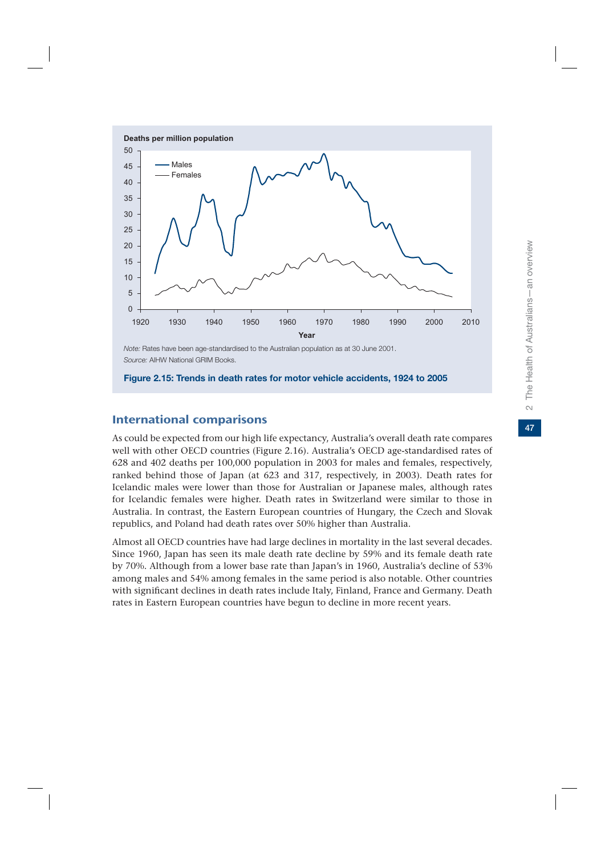

*Note:* Rates have been age-standardised to the Australian population as at 30 June 2001. *Source:* AIHW National GRIM Books.

#### **Figure 2.15: Trends in death rates for motor vehicle accidents, 1924 to 2005**

## International comparisons

As could be expected from our high life expectancy, Australia's overall death rate compares well with other OECD countries (Figure 2.16). Australia's OECD age-standardised rates of 628 and 402 deaths per 100,000 population in 2003 for males and females, respectively, ranked behind those of Japan (at 623 and 317, respectively, in 2003). Death rates for Icelandic males were lower than those for Australian or Japanese males, although rates for Icelandic females were higher. Death rates in Switzerland were similar to those in Australia. In contrast, the Eastern European countries of Hungary, the Czech and Slovak republics, and Poland had death rates over 50% higher than Australia.

Almost all OECD countries have had large declines in mortality in the last several decades. Since 1960, Japan has seen its male death rate decline by 59% and its female death rate by 70%. Although from a lower base rate than Japan's in 1960, Australia's decline of 53% among males and 54% among females in the same period is also notable. Other countries with significant declines in death rates include Italy, Finland, France and Germany. Death rates in Eastern European countries have begun to decline in more recent years.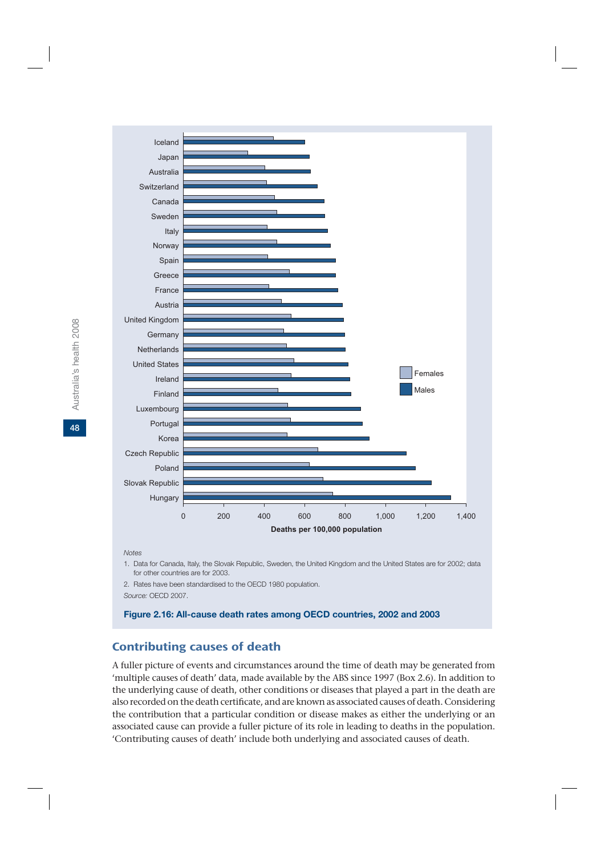

#### *Notes*

1. Data for Canada, Italy, the Slovak Republic, Sweden, the United Kingdom and the United States are for 2002; data for other countries are for 2003.

2. Rates have been standardised to the OECD 1980 population. *Source:* OECD 2007.

#### **Figure 2.16: All-cause death rates among OECD countries, 2002 and 2003**

## Contributing causes of death

A fuller picture of events and circumstances around the time of death may be generated from 'multiple causes of death' data, made available by the ABS since 1997 (Box 2.6). In addition to the underlying cause of death, other conditions or diseases that played a part in the death are also recorded on the death certificate, and are known as associated causes of death. Considering the contribution that a particular condition or disease makes as either the underlying or an associated cause can provide a fuller picture of its role in leading to deaths in the population. 'Contributing causes of death' include both underlying and associated causes of death.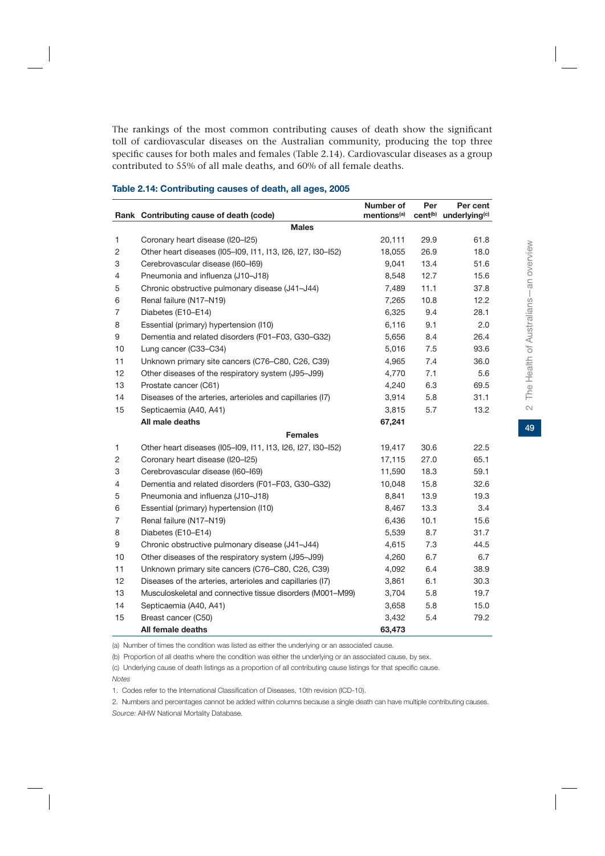The rankings of the most common contributing causes of death show the significant toll of cardiovascular diseases on the Australian community, producing the top three specific causes for both males and females (Table 2.14). Cardiovascular diseases as a group contributed to 55% of all male deaths, and 60% of all female deaths.

|                | Rank Contributing cause of death (code)                     | Number of<br>mentions <sup>(a)</sup> | Per  | Per cent<br>cent <sup>(b)</sup> underlying <sup>(c)</sup> |  |  |  |  |  |
|----------------|-------------------------------------------------------------|--------------------------------------|------|-----------------------------------------------------------|--|--|--|--|--|
|                | <b>Males</b>                                                |                                      |      |                                                           |  |  |  |  |  |
| 1              | Coronary heart disease (I20-I25)                            | 20,111                               | 29.9 | 61.8                                                      |  |  |  |  |  |
| $\overline{c}$ | Other heart diseases (105-109, 111, 113, 126, 127, 130-152) | 18,055                               | 26.9 | 18.0                                                      |  |  |  |  |  |
| 3              | Cerebrovascular disease (I60-I69)                           | 9,041                                | 13.4 | 51.6                                                      |  |  |  |  |  |
| 4              | Pneumonia and influenza (J10-J18)                           | 8,548                                | 12.7 | 15.6                                                      |  |  |  |  |  |
| 5              | Chronic obstructive pulmonary disease (J41-J44)             | 7,489                                | 11.1 | 37.8                                                      |  |  |  |  |  |
| 6              | Renal failure (N17-N19)                                     | 7,265                                | 10.8 | 12.2                                                      |  |  |  |  |  |
| $\overline{7}$ | Diabetes (E10-E14)                                          | 6,325                                | 9.4  | 28.1                                                      |  |  |  |  |  |
| 8              | Essential (primary) hypertension (I10)                      | 6,116                                | 9.1  | 2.0                                                       |  |  |  |  |  |
| 9              | Dementia and related disorders (F01-F03, G30-G32)           | 5,656                                | 8.4  | 26.4                                                      |  |  |  |  |  |
| 10             | Lung cancer (C33-C34)                                       | 5,016                                | 7.5  | 93.6                                                      |  |  |  |  |  |
| 11             | Unknown primary site cancers (C76-C80, C26, C39)            | 4,965                                | 7.4  | 36.0                                                      |  |  |  |  |  |
| 12             | Other diseases of the respiratory system (J95-J99)          | 4,770                                | 7.1  | 5.6                                                       |  |  |  |  |  |
| 13             | Prostate cancer (C61)                                       | 4,240                                | 6.3  | 69.5                                                      |  |  |  |  |  |
| 14             | Diseases of the arteries, arterioles and capillaries (I7)   | 3,914                                | 5.8  | 31.1                                                      |  |  |  |  |  |
| 15             | Septicaemia (A40, A41)                                      | 3,815                                | 5.7  | 13.2                                                      |  |  |  |  |  |
|                | All male deaths                                             | 67,241                               |      |                                                           |  |  |  |  |  |
|                | <b>Females</b>                                              |                                      |      |                                                           |  |  |  |  |  |
| 1              | Other heart diseases (105-109, 111, 113, 126, 127, 130-152) | 19,417                               | 30.6 | 22.5                                                      |  |  |  |  |  |
| $\overline{c}$ | Coronary heart disease (I20-I25)                            | 17,115                               | 27.0 | 65.1                                                      |  |  |  |  |  |
| 3              | Cerebrovascular disease (I60-I69)                           | 11,590                               | 18.3 | 59.1                                                      |  |  |  |  |  |
| 4              | Dementia and related disorders (F01-F03, G30-G32)           | 10,048                               | 15.8 | 32.6                                                      |  |  |  |  |  |
| 5              | Pneumonia and influenza (J10-J18)                           | 8,841                                | 13.9 | 19.3                                                      |  |  |  |  |  |
| 6              | Essential (primary) hypertension (I10)                      | 8,467                                | 13.3 | 3.4                                                       |  |  |  |  |  |
| $\overline{7}$ | Renal failure (N17-N19)                                     | 6,436                                | 10.1 | 15.6                                                      |  |  |  |  |  |
| 8              | Diabetes (E10-E14)                                          | 5,539                                | 8.7  | 31.7                                                      |  |  |  |  |  |
| 9              | Chronic obstructive pulmonary disease (J41-J44)             | 4,615                                | 7.3  | 44.5                                                      |  |  |  |  |  |
| 10             | Other diseases of the respiratory system (J95-J99)          | 4,260                                | 6.7  | 6.7                                                       |  |  |  |  |  |
| 11             | Unknown primary site cancers (C76-C80, C26, C39)            | 4,092                                | 6.4  | 38.9                                                      |  |  |  |  |  |
| 12             | Diseases of the arteries, arterioles and capillaries (I7)   | 3,861                                | 6.1  | 30.3                                                      |  |  |  |  |  |
| 13             | Musculoskeletal and connective tissue disorders (M001-M99)  | 3,704                                | 5.8  | 19.7                                                      |  |  |  |  |  |
| 14             | Septicaemia (A40, A41)                                      | 3,658                                | 5.8  | 15.0                                                      |  |  |  |  |  |
| 15             | Breast cancer (C50)                                         | 3,432                                | 5.4  | 79.2                                                      |  |  |  |  |  |
|                | All female deaths                                           | 63,473                               |      |                                                           |  |  |  |  |  |

#### **Table 2.14: Contributing causes of death, all ages, 2005**

(a) Number of times the condition was listed as either the underlying or an associated cause.

(b) Proportion of all deaths where the condition was either the underlying or an associated cause, by sex.

(c) Underlying cause of death listings as a proportion of all contributing cause listings for that specific cause. *Notes*

1. Codes refer to the International Classification of Diseases, 10th revision (ICD-10).

2. Numbers and percentages cannot be added within columns because a single death can have multiple contributing causes. *Source:* AIHW National Mortality Database.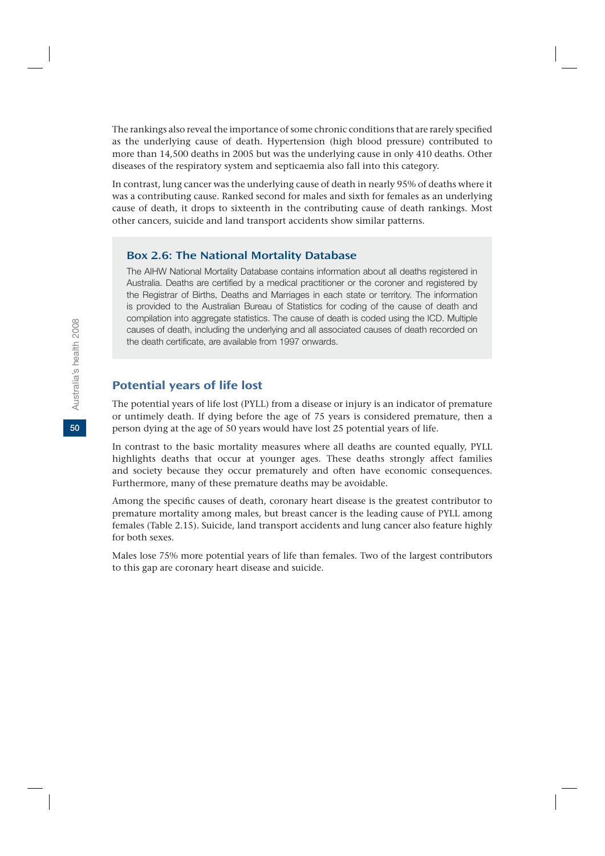The rankings also reveal the importance of some chronic conditions that are rarely specified as the underlying cause of death. Hypertension (high blood pressure) contributed to more than 14,500 deaths in 2005 but was the underlying cause in only 410 deaths. Other diseases of the respiratory system and septicaemia also fall into this category.

In contrast, lung cancer was the underlying cause of death in nearly 95% of deaths where it was a contributing cause. Ranked second for males and sixth for females as an underlying cause of death, it drops to sixteenth in the contributing cause of death rankings. Most other cancers, suicide and land transport accidents show similar patterns.

#### Box 2.6: The National Mortality Database

The AIHW National Mortality Database contains information about all deaths registered in Australia. Deaths are certified by a medical practitioner or the coroner and registered by the Registrar of Births, Deaths and Marriages in each state or territory. The information is provided to the Australian Bureau of Statistics for coding of the cause of death and compilation into aggregate statistics. The cause of death is coded using the ICD. Multiple causes of death, including the underlying and all associated causes of death recorded on the death certificate, are available from 1997 onwards.

#### Potential years of life lost

The potential years of life lost (PYLL) from a disease or injury is an indicator of premature or untimely death. If dying before the age of 75 years is considered premature, then a person dying at the age of 50 years would have lost 25 potential years of life.

In contrast to the basic mortality measures where all deaths are counted equally, PYLL highlights deaths that occur at younger ages. These deaths strongly affect families and society because they occur prematurely and often have economic consequences. Furthermore, many of these premature deaths may be avoidable.

Among the specific causes of death, coronary heart disease is the greatest contributor to premature mortality among males, but breast cancer is the leading cause of PYLL among females (Table 2.15). Suicide, land transport accidents and lung cancer also feature highly for both sexes.

Males lose 75% more potential years of life than females. Two of the largest contributors to this gap are coronary heart disease and suicide.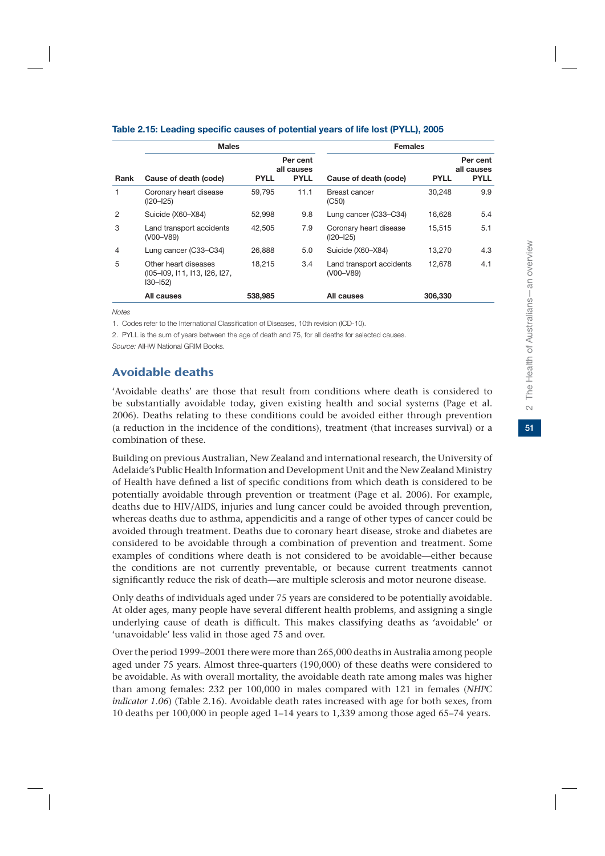|      | <b>Males</b>                                                                |             |                                       | <b>Females</b>                          |             |                                       |  |
|------|-----------------------------------------------------------------------------|-------------|---------------------------------------|-----------------------------------------|-------------|---------------------------------------|--|
| Rank | Cause of death (code)                                                       | <b>PYLL</b> | Per cent<br>all causes<br><b>PYLL</b> | Cause of death (code)                   | <b>PYLL</b> | Per cent<br>all causes<br><b>PYLL</b> |  |
|      | Coronary heart disease<br>$(I20 - I25)$                                     | 59,795      | 11.1                                  | Breast cancer<br>(C50)                  | 30,248      | 9.9                                   |  |
| 2    | Suicide (X60-X84)                                                           | 52.998      | 9.8                                   | Lung cancer (C33-C34)                   | 16.628      | 5.4                                   |  |
| 3    | Land transport accidents<br>(V00-V89)                                       | 42.505      | 7.9                                   | Coronary heart disease<br>$(I20 - I25)$ | 15,515      | 5.1                                   |  |
| 4    | Lung cancer (C33-C34)                                                       | 26.888      | 5.0                                   | Suicide (X60-X84)                       | 13.270      | 4.3                                   |  |
| 5    | Other heart diseases<br>(105-109, 111, 113, 126, 127,<br>$ 30 - 152\rangle$ | 18.215      | 3.4                                   | Land transport accidents<br>(V00-V89)   | 12.678      | 4.1                                   |  |
|      | All causes                                                                  | 538,985     |                                       | All causes                              | 306,330     |                                       |  |

#### **Table 2.15: Leading specific causes of potential years of life lost (PYLL), 2005**

*Notes*

1. Codes refer to the International Classification of Diseases, 10th revision (ICD-10).

2. PYLL is the sum of years between the age of death and 75, for all deaths for selected causes.

*Source:* AIHW National GRIM Books.

## Avoidable deaths

'Avoidable deaths' are those that result from conditions where death is considered to be substantially avoidable today, given existing health and social systems (Page et al. 2006). Deaths relating to these conditions could be avoided either through prevention (a reduction in the incidence of the conditions), treatment (that increases survival) or a combination of these.

Building on previous Australian, New Zealand and international research, the University of Adelaide's Public Health Information and Development Unit and the New Zealand Ministry of Health have defined a list of specific conditions from which death is considered to be potentially avoidable through prevention or treatment (Page et al. 2006). For example, deaths due to HIV/AIDS, injuries and lung cancer could be avoided through prevention, whereas deaths due to asthma, appendicitis and a range of other types of cancer could be avoided through treatment. Deaths due to coronary heart disease, stroke and diabetes are considered to be avoidable through a combination of prevention and treatment. Some examples of conditions where death is not considered to be avoidable—either because the conditions are not currently preventable, or because current treatments cannot significantly reduce the risk of death—are multiple sclerosis and motor neurone disease.

Only deaths of individuals aged under 75 years are considered to be potentially avoidable. At older ages, many people have several different health problems, and assigning a single underlying cause of death is difficult. This makes classifying deaths as 'avoidable' or 'unavoidable' less valid in those aged 75 and over.

Over the period 1999–2001 there were more than 265,000 deaths in Australia among people aged under 75 years. Almost three-quarters (190,000) of these deaths were considered to be avoidable. As with overall mortality, the avoidable death rate among males was higher than among females: 232 per 100,000 in males compared with 121 in females (*NHPC indicator 1.06*) (Table 2.16). Avoidable death rates increased with age for both sexes, from 10 deaths per 100,000 in people aged 1–14 years to 1,339 among those aged 65–74 years.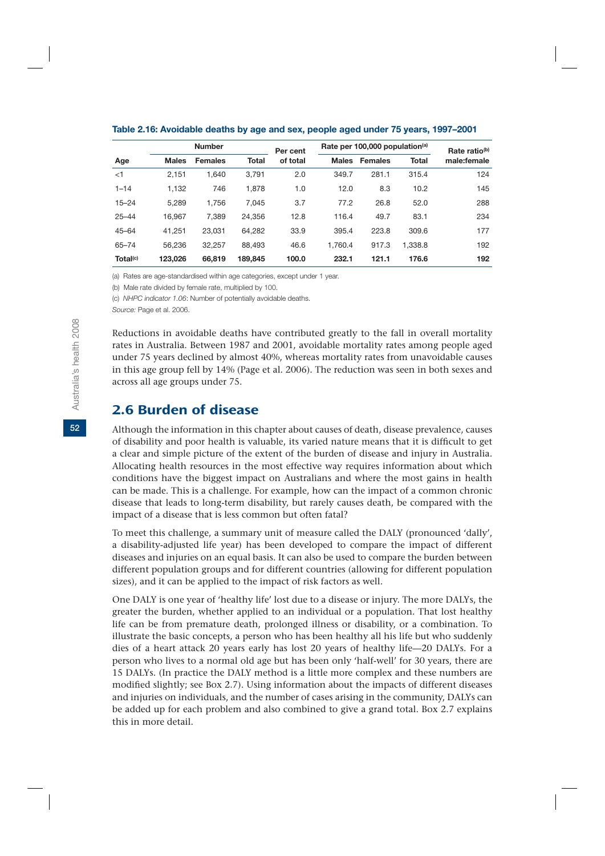|                      |              | <b>Number</b>  |         | Per cent |              | Rate per 100,000 population <sup>(a)</sup> | Rate ratio <sup>(b)</sup> |             |
|----------------------|--------------|----------------|---------|----------|--------------|--------------------------------------------|---------------------------|-------------|
| Age                  | <b>Males</b> | <b>Females</b> | Total   | of total | <b>Males</b> | <b>Females</b>                             | <b>Total</b>              | male:female |
| $\leq$ 1             | 2,151        | 1.640          | 3.791   | 2.0      | 349.7        | 281.1                                      | 315.4                     | 124         |
| $1 - 14$             | 1,132        | 746            | 1,878   | 1.0      | 12.0         | 8.3                                        | 10.2                      | 145         |
| $15 - 24$            | 5.289        | 1.756          | 7.045   | 3.7      | 77.2         | 26.8                                       | 52.0                      | 288         |
| $25 - 44$            | 16.967       | 7.389          | 24.356  | 12.8     | 116.4        | 49.7                                       | 83.1                      | 234         |
| $45 - 64$            | 41,251       | 23.031         | 64,282  | 33.9     | 395.4        | 223.8                                      | 309.6                     | 177         |
| $65 - 74$            | 56.236       | 32.257         | 88.493  | 46.6     | 1.760.4      | 917.3                                      | 1.338.8                   | 192         |
| Total <sup>(c)</sup> | 123.026      | 66,819         | 189,845 | 100.0    | 232.1        | 121.1                                      | 176.6                     | 192         |

**Table 2.16: Avoidable deaths by age and sex, people aged under 75 years, 1997–2001** 

(a) Rates are age-standardised within age categories, except under 1 year.

(b) Male rate divided by female rate, multiplied by 100.

(c) *NHPC indicator 1.06*: Number of potentially avoidable deaths.

*Source:* Page et al. 2006.

Reductions in avoidable deaths have contributed greatly to the fall in overall mortality rates in Australia. Between 1987 and 2001, avoidable mortality rates among people aged under 75 years declined by almost 40%, whereas mortality rates from unavoidable causes in this age group fell by 14% (Page et al. 2006). The reduction was seen in both sexes and across all age groups under 75.

## 2.6 Burden of disease

Although the information in this chapter about causes of death, disease prevalence, causes of disability and poor health is valuable, its varied nature means that it is difficult to get a clear and simple picture of the extent of the burden of disease and injury in Australia. Allocating health resources in the most effective way requires information about which conditions have the biggest impact on Australians and where the most gains in health can be made. This is a challenge. For example, how can the impact of a common chronic disease that leads to long-term disability, but rarely causes death, be compared with the impact of a disease that is less common but often fatal?

To meet this challenge, a summary unit of measure called the DALY (pronounced 'dally', a disability-adjusted life year) has been developed to compare the impact of different diseases and injuries on an equal basis. It can also be used to compare the burden between different population groups and for different countries (allowing for different population sizes), and it can be applied to the impact of risk factors as well.

One DALY is one year of 'healthy life' lost due to a disease or injury. The more DALYs, the greater the burden, whether applied to an individual or a population. That lost healthy life can be from premature death, prolonged illness or disability, or a combination. To illustrate the basic concepts, a person who has been healthy all his life but who suddenly dies of a heart attack 20 years early has lost 20 years of healthy life—20 DALYs. For a person who lives to a normal old age but has been only 'half-well' for 30 years, there are 15 DALYs. (In practice the DALY method is a little more complex and these numbers are modified slightly; see Box 2.7). Using information about the impacts of different diseases and injuries on individuals, and the number of cases arising in the community, DALYs can be added up for each problem and also combined to give a grand total. Box 2.7 explains this in more detail.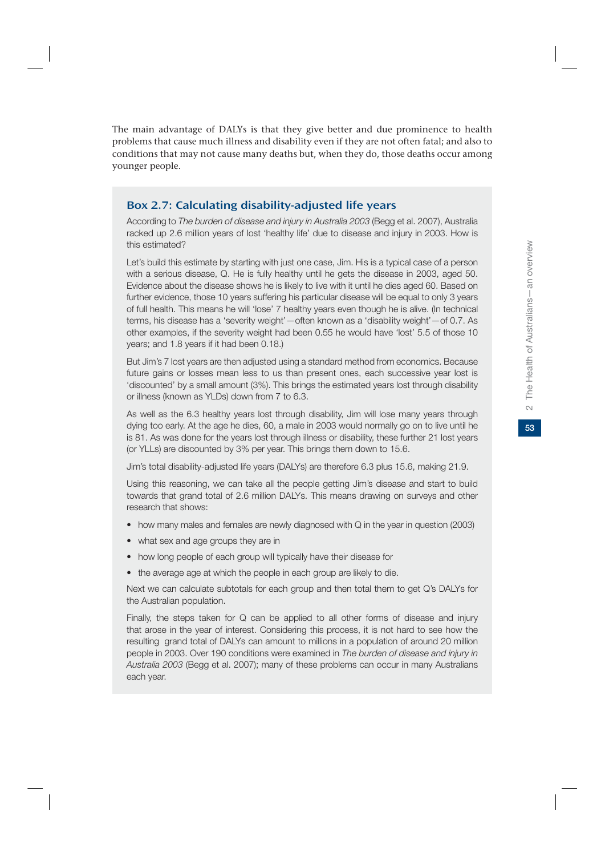## Box 2.7: Calculating disability-adjusted life years

According to *The burden of disease and injury in Australia 2003* (Begg et al. 2007), Australia racked up 2.6 million years of lost 'healthy life' due to disease and injury in 2003. How is this estimated?

Let's build this estimate by starting with just one case, Jim. His is a typical case of a person with a serious disease, Q. He is fully healthy until he gets the disease in 2003, aged 50. Evidence about the disease shows he is likely to live with it until he dies aged 60. Based on further evidence, those 10 years suffering his particular disease will be equal to only 3 years of full health. This means he will 'lose' 7 healthy years even though he is alive. (In technical terms, his disease has a 'severity weight'—often known as a 'disability weight'—of 0.7. As other examples, if the severity weight had been 0.55 he would have 'lost' 5.5 of those 10 years; and 1.8 years if it had been 0.18.)

But Jim's 7 lost years are then adjusted using a standard method from economics. Because future gains or losses mean less to us than present ones, each successive year lost is 'discounted' by a small amount (3%). This brings the estimated years lost through disability or illness (known as YLDs) down from 7 to 6.3.

As well as the 6.3 healthy years lost through disability, Jim will lose many years through dying too early. At the age he dies, 60, a male in 2003 would normally go on to live until he is 81. As was done for the years lost through illness or disability, these further 21 lost years (or YLLs) are discounted by 3% per year. This brings them down to 15.6.

Jim's total disability-adjusted life years (DALYs) are therefore 6.3 plus 15.6, making 21.9.

Using this reasoning, we can take all the people getting Jim's disease and start to build towards that grand total of 2.6 million DALYs. This means drawing on surveys and other research that shows:

- how many males and females are newly diagnosed with Q in the year in question (2003)
- what sex and age groups they are in
- how long people of each group will typically have their disease for
- the average age at which the people in each group are likely to die.

Next we can calculate subtotals for each group and then total them to get Q's DALYs for the Australian population.

Finally, the steps taken for Q can be applied to all other forms of disease and injury that arose in the year of interest. Considering this process, it is not hard to see how the resulting grand total of DALYs can amount to millions in a population of around 20 million people in 2003. Over 190 conditions were examined in *The burden of disease and injury in Australia 2003* (Begg et al. 2007); many of these problems can occur in many Australians each year.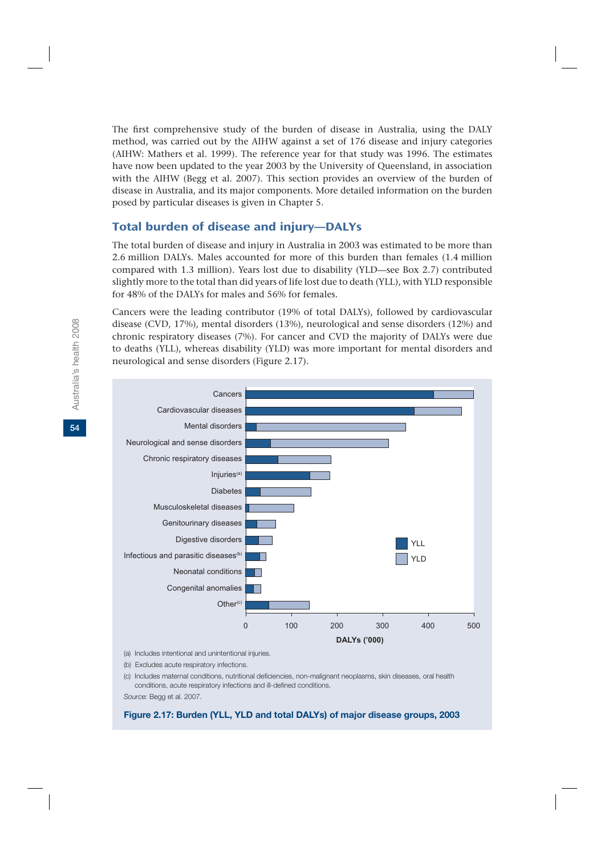The first comprehensive study of the burden of disease in Australia, using the DALY method, was carried out by the AIHW against a set of 176 disease and injury categories (AIHW: Mathers et al. 1999). The reference year for that study was 1996. The estimates have now been updated to the year 2003 by the University of Queensland, in association with the AIHW (Begg et al. 2007). This section provides an overview of the burden of disease in Australia, and its major components. More detailed information on the burden posed by particular diseases is given in Chapter 5.

## Total burden of disease and injury—DALYs

The total burden of disease and injury in Australia in 2003 was estimated to be more than 2.6 million DALYs. Males accounted for more of this burden than females (1.4 million compared with 1.3 million). Years lost due to disability (YLD—see Box 2.7) contributed slightly more to the total than did years of life lost due to death (YLL), with YLD responsible for 48% of the DALYs for males and 56% for females.

Cancers were the leading contributor (19% of total DALYs), followed by cardiovascular disease (CVD, 17%), mental disorders (13%), neurological and sense disorders (12%) and chronic respiratory diseases (7%). For cancer and CVD the majority of DALYs were due to deaths (YLL), whereas disability (YLD) was more important for mental disorders and neurological and sense disorders (Figure 2.17).



(a) Includes intentional and unintentional injuries.

(b) Excludes acute respiratory infections.

(c) Includes maternal conditions, nutritional deficiencies, non-malignant neoplasms, skin diseases, oral health conditions, acute respiratory infections and ill-defined conditions.

*Source:* Begg et al. 2007.

#### **Figure 2.17: Burden (YLL, YLD and total DALYs) of major disease groups, 2003**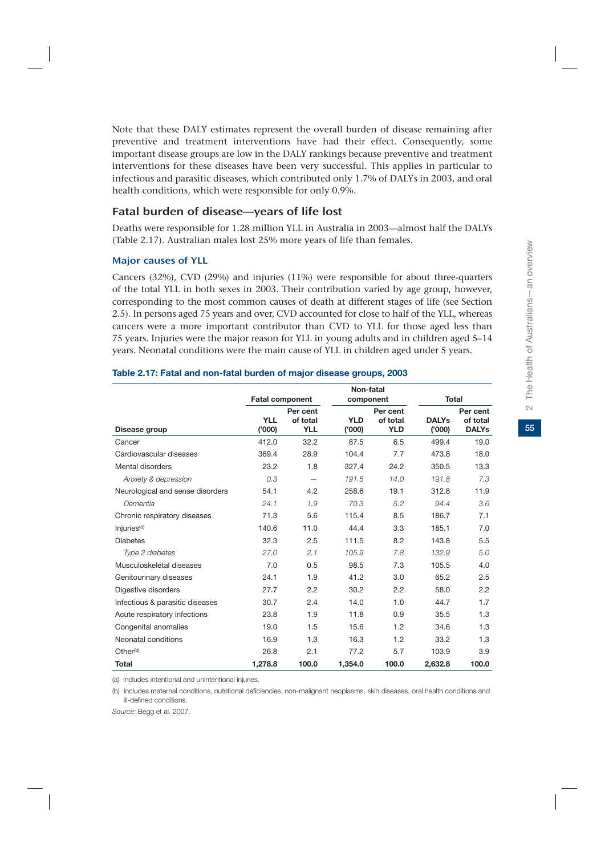Note that these DALY estimates represent the overall burden of disease remaining after preventive and treatment interventions have had their effect. Consequently, some important disease groups are low in the DALY rankings because preventive and treatment interventions for these diseases have been very successful. This applies in particular to infectious and parasitic diseases, which contributed only 1.7% of DALYs in 2003, and oral health conditions, which were responsible for only 0.9%.

## Fatal burden of disease—years of life lost

Deaths were responsible for 1.28 million YLL in Australia in 2003—almost half the DALYs (Table 2.17). Australian males lost 25% more years of life than females.

#### Major causes of YLL

Cancers (32%), CVD (29%) and injuries (11%) were responsible for about three-quarters of the total YLL in both sexes in 2003. Their contribution varied by age group, however, corresponding to the most common causes of death at different stages of life (see Section 2.5). In persons aged 75 years and over, CVD accounted for close to half of the YLL, whereas cancers were a more important contributor than CVD to YLL for those aged less than 75 years. Injuries were the major reason for YLL in young adults and in children aged 5–14 years. Neonatal conditions were the main cause of YLL in children aged under 5 years.

|                                  | <b>Fatal component</b> |                      |            | Non-fatal<br>component |              | Total                |  |
|----------------------------------|------------------------|----------------------|------------|------------------------|--------------|----------------------|--|
|                                  |                        |                      |            |                        |              |                      |  |
|                                  | <b>YLL</b>             | Per cent<br>of total | <b>YLD</b> | Per cent<br>of total   | <b>DALYs</b> | Per cent<br>of total |  |
| Disease group                    | (000)                  | <b>YLL</b>           | ('000)     | <b>YLD</b>             | (000)        | <b>DALYs</b>         |  |
| Cancer                           | 412.0                  | 32.2                 | 87.5       | 6.5                    | 499.4        | 19.0                 |  |
| Cardiovascular diseases          | 369.4                  | 28.9                 | 104.4      | 7.7                    | 473.8        | 18.0                 |  |
| Mental disorders                 | 23.2                   | 1.8                  | 327.4      | 24.2                   | 350.5        | 13.3                 |  |
| Anxiety & depression             | 0.3                    |                      | 191.5      | 14.0                   | 191.8        | 7.3                  |  |
| Neurological and sense disorders | 54.1                   | 4.2                  | 258.6      | 19.1                   | 312.8        | 11.9                 |  |
| Dementia                         | 24.1                   | 1.9                  | 70.3       | 5.2                    | 94.4         | 3.6                  |  |
| Chronic respiratory diseases     | 71.3                   | 5.6                  | 115.4      | 8.5                    | 186.7        | 7.1                  |  |
| Injuries <sup>(a)</sup>          | 140.6                  | 11.0                 | 44.4       | 3.3                    | 185.1        | 7.0                  |  |
| <b>Diabetes</b>                  | 32.3                   | 2.5                  | 111.5      | 8.2                    | 143.8        | 5.5                  |  |
| Type 2 diabetes                  | 27.0                   | 2.1                  | 105.9      | 7.8                    | 132.9        | 5.0                  |  |
| Musculoskeletal diseases         | 7.0                    | 0.5                  | 98.5       | 7.3                    | 105.5        | 4.0                  |  |
| Genitourinary diseases           | 24.1                   | 1.9                  | 41.2       | 3.0                    | 65.2         | 2.5                  |  |
| Digestive disorders              | 27.7                   | 2.2                  | 30.2       | 2.2                    | 58.0         | 2.2                  |  |
| Infectious & parasitic diseases  | 30.7                   | 2.4                  | 14.0       | 1.0                    | 44.7         | 1.7                  |  |
| Acute respiratory infections     | 23.8                   | 1.9                  | 11.8       | 0.9                    | 35.5         | 1.3                  |  |
| Congenital anomalies             | 19.0                   | 1.5                  | 15.6       | 1.2                    | 34.6         | 1.3                  |  |
| Neonatal conditions              | 16.9                   | 1.3                  | 16.3       | 1.2                    | 33.2         | 1.3                  |  |
| Other <sup>(b)</sup>             | 26.8                   | 2.1                  | 77.2       | 5.7                    | 103.9        | 3.9                  |  |
| <b>Total</b>                     | 1.278.8                | 100.0                | 1,354.0    | 100.0                  | 2,632.8      | 100.0                |  |

#### **Table 2.17: Fatal and non-fatal burden of major disease groups, 2003**

(a) Includes intentional and unintentional injuries.

(b) Includes maternal conditions, nutritional deficiencies, non-malignant neoplasms, skin diseases, oral health conditions and ill-defined conditions.

*Source:* Begg et al. 2007.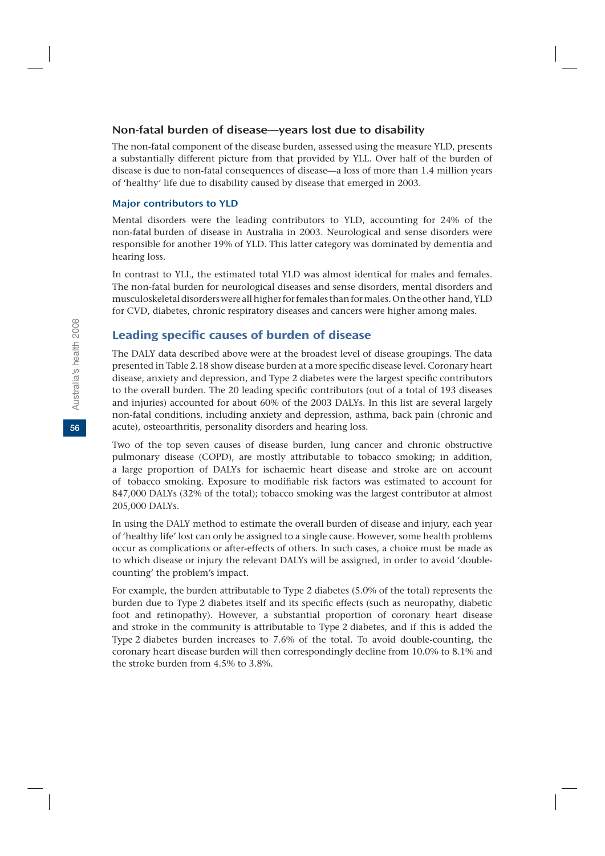### Non-fatal burden of disease—years lost due to disability

The non-fatal component of the disease burden, assessed using the measure YLD, presents a substantially different picture from that provided by YLL. Over half of the burden of disease is due to non-fatal consequences of disease—a loss of more than 1.4 million years of 'healthy' life due to disability caused by disease that emerged in 2003.

#### Major contributors to YLD

Mental disorders were the leading contributors to YLD, accounting for 24% of the non-fatal burden of disease in Australia in 2003. Neurological and sense disorders were responsible for another 19% of YLD. This latter category was dominated by dementia and hearing loss.

In contrast to YLL, the estimated total YLD was almost identical for males and females. The non-fatal burden for neurological diseases and sense disorders, mental disorders and musculoskeletal disorders were all higher for females than for males. On the other hand, YLD for CVD, diabetes, chronic respiratory diseases and cancers were higher among males.

## Leading specific causes of burden of disease

The DALY data described above were at the broadest level of disease groupings. The data presented in Table 2.18 show disease burden at a more specific disease level. Coronary heart disease, anxiety and depression, and Type 2 diabetes were the largest specific contributors to the overall burden. The 20 leading specific contributors (out of a total of 193 diseases and injuries) accounted for about 60% of the 2003 DALYs. In this list are several largely non-fatal conditions, including anxiety and depression, asthma, back pain (chronic and acute), osteoarthritis, personality disorders and hearing loss.

Two of the top seven causes of disease burden, lung cancer and chronic obstructive pulmonary disease (COPD), are mostly attributable to tobacco smoking; in addition, a large proportion of DALYs for ischaemic heart disease and stroke are on account of tobacco smoking. Exposure to modifiable risk factors was estimated to account for 847,000 DALYs (32% of the total); tobacco smoking was the largest contributor at almost 205,000 DALYs.

In using the DALY method to estimate the overall burden of disease and injury, each year of 'healthy life' lost can only be assigned to a single cause. However, some health problems occur as complications or after-effects of others. In such cases, a choice must be made as to which disease or injury the relevant DALYs will be assigned, in order to avoid 'doublecounting' the problem's impact.

For example, the burden attributable to Type 2 diabetes (5.0% of the total) represents the burden due to Type 2 diabetes itself and its specific effects (such as neuropathy, diabetic foot and retinopathy). However, a substantial proportion of coronary heart disease and stroke in the community is attributable to Type 2 diabetes, and if this is added the Type 2 diabetes burden increases to 7.6% of the total. To avoid double-counting, the coronary heart disease burden will then correspondingly decline from 10.0% to 8.1% and the stroke burden from 4.5% to 3.8%.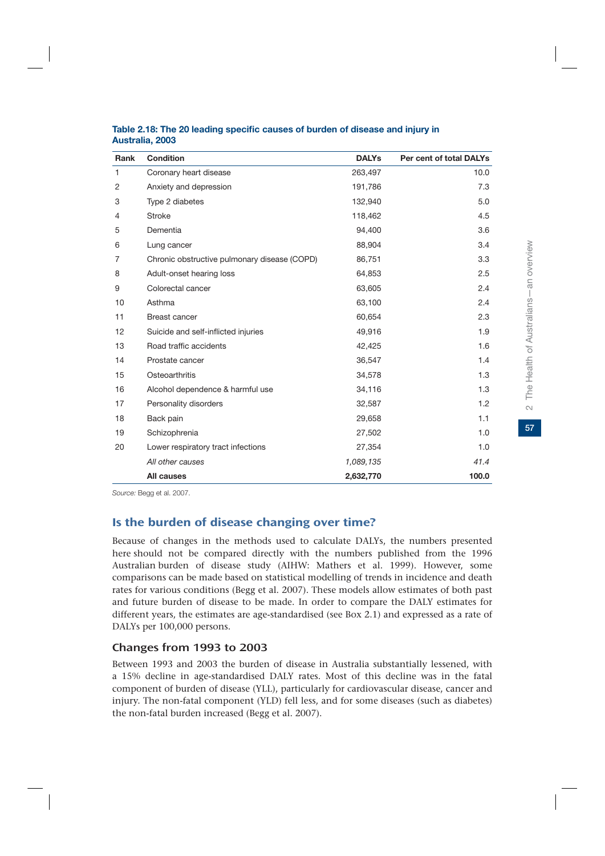| Rank           | <b>Condition</b>                             | <b>DALYs</b> | Per cent of total DALYs |
|----------------|----------------------------------------------|--------------|-------------------------|
| 1              | Coronary heart disease                       | 263,497      | 10.0                    |
| 2              | Anxiety and depression                       | 191,786      | 7.3                     |
| 3              | Type 2 diabetes                              | 132,940      | 5.0                     |
| $\overline{4}$ | <b>Stroke</b>                                | 118,462      | 4.5                     |
| 5              | Dementia                                     | 94,400       | 3.6                     |
| 6              | Lung cancer                                  | 88,904       | 3.4                     |
| 7              | Chronic obstructive pulmonary disease (COPD) | 86,751       | 3.3                     |
| 8              | Adult-onset hearing loss                     | 64,853       | 2.5                     |
| 9              | Colorectal cancer                            | 63,605       | 2.4                     |
| 10             | Asthma                                       | 63,100       | 2.4                     |
| 11             | <b>Breast cancer</b>                         | 60,654       | 2.3                     |
| 12             | Suicide and self-inflicted injuries          | 49,916       | 1.9                     |
| 13             | Road traffic accidents                       | 42,425       | 1.6                     |
| 14             | Prostate cancer                              | 36,547       | 1.4                     |
| 15             | Osteoarthritis                               | 34,578       | 1.3                     |
| 16             | Alcohol dependence & harmful use             | 34,116       | 1.3                     |
| 17             | Personality disorders                        | 32,587       | 1.2                     |
| 18             | Back pain                                    | 29,658       | 1.1                     |
| 19             | Schizophrenia                                | 27,502       | 1.0                     |
| 20             | Lower respiratory tract infections           | 27,354       | 1.0                     |
|                | All other causes                             | 1,089,135    | 41.4                    |
|                | All causes                                   | 2,632,770    | 100.0                   |

#### **Table 2.18: The 20 leading specific causes of burden of disease and injury in Australia, 2003**

*Source:* Begg et al. 2007.

## Is the burden of disease changing over time?

Because of changes in the methods used to calculate DALYs, the numbers presented here should not be compared directly with the numbers published from the 1996 Australian burden of disease study (AIHW: Mathers et al. 1999). However, some comparisons can be made based on statistical modelling of trends in incidence and death rates for various conditions (Begg et al. 2007). These models allow estimates of both past and future burden of disease to be made. In order to compare the DALY estimates for different years, the estimates are age-standardised (see Box 2.1) and expressed as a rate of DALYs per 100,000 persons.

## Changes from 1993 to 2003

Between 1993 and 2003 the burden of disease in Australia substantially lessened, with a 15% decline in age-standardised DALY rates. Most of this decline was in the fatal component of burden of disease (YLL), particularly for cardiovascular disease, cancer and injury. The non-fatal component (YLD) fell less, and for some diseases (such as diabetes) the non-fatal burden increased (Begg et al. 2007).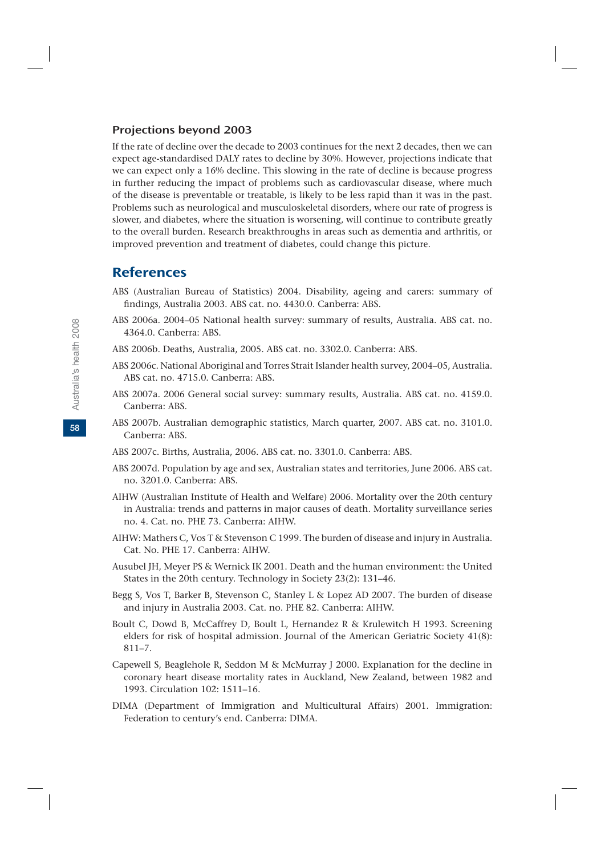#### Projections beyond 2003

If the rate of decline over the decade to 2003 continues for the next 2 decades, then we can expect age-standardised DALY rates to decline by 30%. However, projections indicate that we can expect only a 16% decline. This slowing in the rate of decline is because progress in further reducing the impact of problems such as cardiovascular disease, where much of the disease is preventable or treatable, is likely to be less rapid than it was in the past. Problems such as neurological and musculoskeletal disorders, where our rate of progress is slower, and diabetes, where the situation is worsening, will continue to contribute greatly to the overall burden. Research breakthroughs in areas such as dementia and arthritis, or improved prevention and treatment of diabetes, could change this picture.

## References

- ABS (Australian Bureau of Statistics) 2004. Disability, ageing and carers: summary of findings, Australia 2003. ABS cat. no. 4430.0. Canberra: ABS.
- ABS 2006a. 2004–05 National health survey: summary of results, Australia. ABS cat. no. 4364.0. Canberra: ABS.
- ABS 2006b. Deaths, Australia, 2005. ABS cat. no. 3302.0. Canberra: ABS.
- ABS 2006c. National Aboriginal and Torres Strait Islander health survey, 2004–05, Australia. ABS cat. no. 4715.0. Canberra: ABS.
- ABS 2007a. 2006 General social survey: summary results, Australia. ABS cat. no. 4159.0. Canberra: ABS.
- ABS 2007b. Australian demographic statistics, March quarter, 2007. ABS cat. no. 3101.0. Canberra: ABS.
- ABS 2007c. Births, Australia, 2006. ABS cat. no. 3301.0. Canberra: ABS.
- ABS 2007d. Population by age and sex, Australian states and territories, June 2006. ABS cat. no. 3201.0. Canberra: ABS.
- AIHW (Australian Institute of Health and Welfare) 2006. Mortality over the 20th century in Australia: trends and patterns in major causes of death. Mortality surveillance series no. 4. Cat. no. PHE 73. Canberra: AIHW.
- AIHW: Mathers C, Vos T & Stevenson C 1999. The burden of disease and injury in Australia. Cat. No. PHE 17. Canberra: AIHW.
- Ausubel JH, Meyer PS & Wernick IK 2001. Death and the human environment: the United States in the 20th century. Technology in Society 23(2): 131–46.
- Begg S, Vos T, Barker B, Stevenson C, Stanley L & Lopez AD 2007. The burden of disease and injury in Australia 2003. Cat. no. PHE 82. Canberra: AIHW.
- Boult C, Dowd B, McCaffrey D, Boult L, Hernandez R & Krulewitch H 1993. Screening elders for risk of hospital admission. Journal of the American Geriatric Society 41(8): 811–7.
- Capewell S, Beaglehole R, Seddon M & McMurray J 2000. Explanation for the decline in coronary heart disease mortality rates in Auckland, New Zealand, between 1982 and 1993. Circulation 102: 1511–16.
- DIMA (Department of Immigration and Multicultural Affairs) 2001. Immigration: Federation to century's end. Canberra: DIMA.